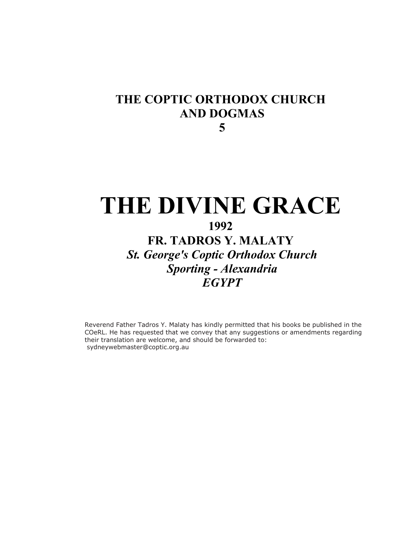# **THE COPTIC ORTHODOX CHURCH AND DOGMAS 5**

**THE DIVINE GRACE**

**1992**

**FR. TADROS Y. MALATY**   *St. George's Coptic Orthodox Church Sporting - Alexandria EGYPT* 

Reverend Father Tadros Y. Malaty has kindly permitted that his books be published in the COeRL. He has requested that we convey that any suggestions or amendments regarding their translation are welcome, and should be forwarded to: sydneywebmaster@coptic.org.au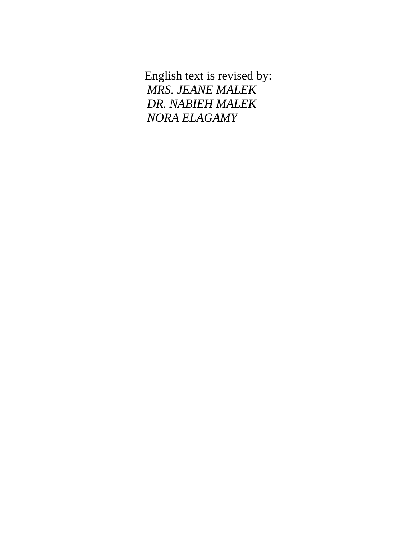English text is revised by: *MRS. JEANE MALEK DR. NABIEH MALEK NORA ELAGAMY*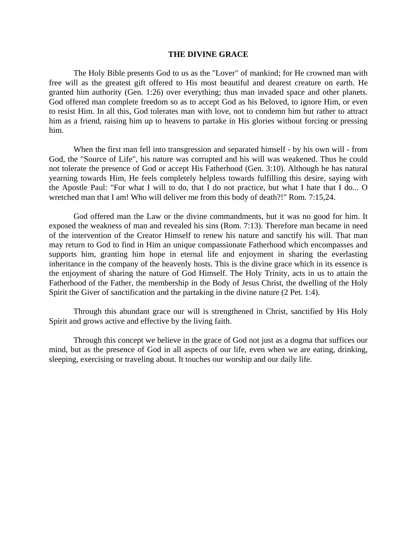#### **THE DIVINE GRACE**

The Holy Bible presents God to us as the "Lover" of mankind; for He crowned man with free will as the greatest gift offered to His most beautiful and dearest creature on earth. He granted him authority (Gen. 1:26) over everything; thus man invaded space and other planets. God offered man complete freedom so as to accept God as his Beloved, to ignore Him, or even to resist Him. In all this, God tolerates man with love, not to condemn him but rather to attract him as a friend, raising him up to heavens to partake in His glories without forcing or pressing him.

When the first man fell into transgression and separated himself - by his own will - from God, the "Source of Life", his nature was corrupted and his will was weakened. Thus he could not tolerate the presence of God or accept His Fatherhood (Gen. 3:10). Although he has natural yearning towards Him, He feels completely helpless towards fulfilling this desire, saying with the Apostle Paul: "For what I will to do, that I do not practice, but what I hate that I do... O wretched man that I am! Who will deliver me from this body of death?!" Rom. 7:15,24.

God offered man the Law or the divine commandments, but it was no good for him. It exposed the weakness of man and revealed his sins (Rom. 7:13). Therefore man became in need of the intervention of the Creator Himself to renew his nature and sanctify his will. That man may return to God to find in Him an unique compassionate Fatherhood which encompasses and supports him, granting him hope in eternal life and enjoyment in sharing the everlasting inheritance in the company of the heavenly hosts. This is the divine grace which in its essence is the enjoyment of sharing the nature of God Himself. The Holy Trinity, acts in us to attain the Fatherhood of the Father, the membership in the Body of Jesus Christ, the dwelling of the Holy Spirit the Giver of sanctification and the partaking in the divine nature (2 Pet. 1:4).

Through this abundant grace our will is strengthened in Christ, sanctified by His Holy Spirit and grows active and effective by the living faith.

Through this concept we believe in the grace of God not just as a dogma that suffices our mind, but as the presence of God in all aspects of our life, even when we are eating, drinking, sleeping, exercising or traveling about. It touches our worship and our daily life.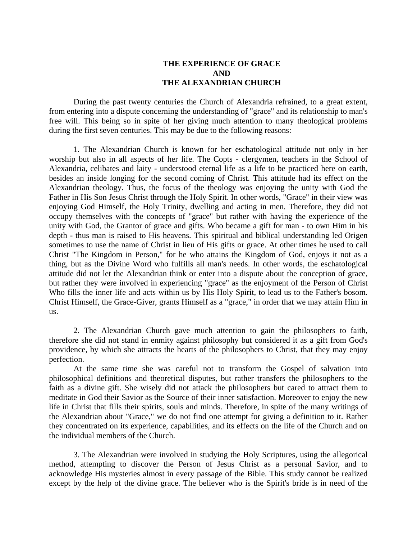### **THE EXPERIENCE OF GRACE AND THE ALEXANDRIAN CHURCH**

During the past twenty centuries the Church of Alexandria refrained, to a great extent, from entering into a dispute concerning the understanding of "grace" and its relationship to man's free will. This being so in spite of her giving much attention to many theological problems during the first seven centuries. This may be due to the following reasons:

1. The Alexandrian Church is known for her eschatological attitude not only in her worship but also in all aspects of her life. The Copts - clergymen, teachers in the School of Alexandria, celibates and laity - understood eternal life as a life to be practiced here on earth, besides an inside longing for the second coming of Christ. This attitude had its effect on the Alexandrian theology. Thus, the focus of the theology was enjoying the unity with God the Father in His Son Jesus Christ through the Holy Spirit. In other words, "Grace" in their view was enjoying God Himself, the Holy Trinity, dwelling and acting in men. Therefore, they did not occupy themselves with the concepts of "grace" but rather with having the experience of the unity with God, the Grantor of grace and gifts. Who became a gift for man - to own Him in his depth - thus man is raised to His heavens. This spiritual and biblical understanding led Origen sometimes to use the name of Christ in lieu of His gifts or grace. At other times he used to call Christ "The Kingdom in Person," for he who attains the Kingdom of God, enjoys it not as a thing, but as the Divine Word who fulfills all man's needs. In other words, the eschatological attitude did not let the Alexandrian think or enter into a dispute about the conception of grace, but rather they were involved in experiencing "grace" as the enjoyment of the Person of Christ Who fills the inner life and acts within us by His Holy Spirit, to lead us to the Father's bosom. Christ Himself, the Grace-Giver, grants Himself as a "grace," in order that we may attain Him in us.

2. The Alexandrian Church gave much attention to gain the philosophers to faith, therefore she did not stand in enmity against philosophy but considered it as a gift from God's providence, by which she attracts the hearts of the philosophers to Christ, that they may enjoy perfection.

At the same time she was careful not to transform the Gospel of salvation into philosophical definitions and theoretical disputes, but rather transfers the philosophers to the faith as a divine gift. She wisely did not attack the philosophers but cared to attract them to meditate in God their Savior as the Source of their inner satisfaction. Moreover to enjoy the new life in Christ that fills their spirits, souls and minds. Therefore, in spite of the many writings of the Alexandrian about "Grace," we do not find one attempt for giving a definition to it. Rather they concentrated on its experience, capabilities, and its effects on the life of the Church and on the individual members of the Church.

3. The Alexandrian were involved in studying the Holy Scriptures, using the allegorical method, attempting to discover the Person of Jesus Christ as a personal Savior, and to acknowledge His mysteries almost in every passage of the Bible. This study cannot be realized except by the help of the divine grace. The believer who is the Spirit's bride is in need of the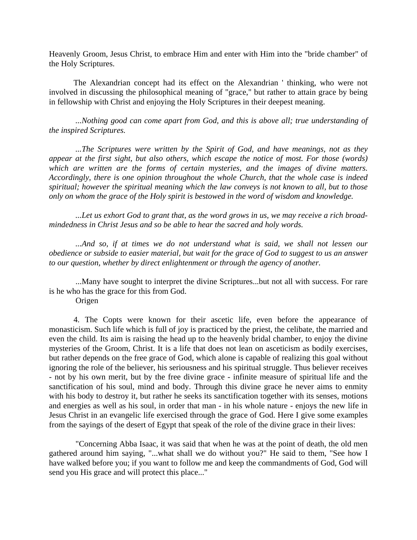Heavenly Groom, Jesus Christ, to embrace Him and enter with Him into the "bride chamber" of the Holy Scriptures.

The Alexandrian concept had its effect on the Alexandrian ' thinking, who were not involved in discussing the philosophical meaning of "grace," but rather to attain grace by being in fellowship with Christ and enjoying the Holy Scriptures in their deepest meaning.

 *...Nothing good can come apart from God, and this is above all; true understanding of the inspired Scriptures.* 

 *...The Scriptures were written by the Spirit of God, and have meanings, not as they appear at the first sight, but also others, which escape the notice of most. For those (words) which are written are the forms of certain mysteries, and the images of divine matters. Accordingly, there is one opinion throughout the whole Church, that the whole case is indeed spiritual; however the spiritual meaning which the law conveys is not known to all, but to those only on whom the grace of the Holy spirit is bestowed in the word of wisdom and knowledge.* 

 *...Let us exhort God to grant that, as the word grows in us, we may receive a rich broadmindedness in Christ Jesus and so be able to hear the sacred and holy words.* 

 *...And so, if at times we do not understand what is said, we shall not lessen our obedience or subside to easier material, but wait for the grace of God to suggest to us an answer to our question, whether by direct enlightenment or through the agency of another.* 

 ...Many have sought to interpret the divine Scriptures...but not all with success. For rare is he who has the grace for this from God.

Origen

4. The Copts were known for their ascetic life, even before the appearance of monasticism. Such life which is full of joy is practiced by the priest, the celibate, the married and even the child. Its aim is raising the head up to the heavenly bridal chamber, to enjoy the divine mysteries of the Groom, Christ. It is a life that does not lean on asceticism as bodily exercises, but rather depends on the free grace of God, which alone is capable of realizing this goal without ignoring the role of the believer, his seriousness and his spiritual struggle. Thus believer receives - not by his own merit, but by the free divine grace - infinite measure of spiritual life and the sanctification of his soul, mind and body. Through this divine grace he never aims to enmity with his body to destroy it, but rather he seeks its sanctification together with its senses, motions and energies as well as his soul, in order that man - in his whole nature - enjoys the new life in Jesus Christ in an evangelic life exercised through the grace of God. Here I give some examples from the sayings of the desert of Egypt that speak of the role of the divine grace in their lives:

 "Concerning Abba Isaac, it was said that when he was at the point of death, the old men gathered around him saying, "...what shall we do without you?" He said to them, "See how I have walked before you; if you want to follow me and keep the commandments of God, God will send you His grace and will protect this place..."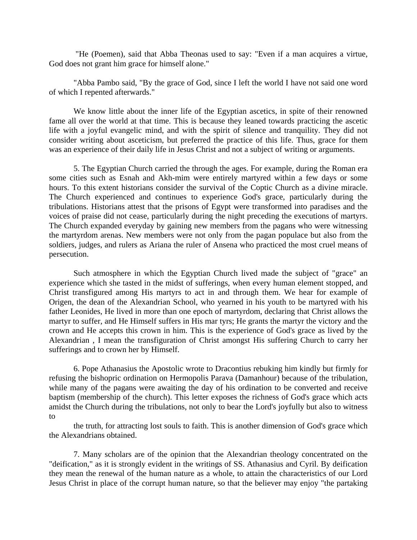"He (Poemen), said that Abba Theonas used to say: "Even if a man acquires a virtue, God does not grant him grace for himself alone."

"Abba Pambo said, "By the grace of God, since I left the world I have not said one word of which I repented afterwards."

We know little about the inner life of the Egyptian ascetics, in spite of their renowned fame all over the world at that time. This is because they leaned towards practicing the ascetic life with a joyful evangelic mind, and with the spirit of silence and tranquility. They did not consider writing about asceticism, but preferred the practice of this life. Thus, grace for them was an experience of their daily life in Jesus Christ and not a subject of writing or arguments.

5. The Egyptian Church carried the through the ages. For example, during the Roman era some cities such as Esnah and Akh-mim were entirely martyred within a few days or some hours. To this extent historians consider the survival of the Coptic Church as a divine miracle. The Church experienced and continues to experience God's grace, particularly during the tribulations. Historians attest that the prisons of Egypt were transformed into paradises and the voices of praise did not cease, particularly during the night preceding the executions of martyrs. The Church expanded everyday by gaining new members from the pagans who were witnessing the martyrdom arenas. New members were not only from the pagan populace but also from the soldiers, judges, and rulers as Ariana the ruler of Ansena who practiced the most cruel means of persecution.

Such atmosphere in which the Egyptian Church lived made the subject of "grace" an experience which she tasted in the midst of sufferings, when every human element stopped, and Christ transfigured among His martyrs to act in and through them. We hear for example of Origen, the dean of the Alexandrian School, who yearned in his youth to be martyred with his father Leonides, He lived in more than one epoch of martyrdom, declaring that Christ allows the martyr to suffer, and He Himself suffers in His mar tyrs; He grants the martyr the victory and the crown and He accepts this crown in him. This is the experience of God's grace as lived by the Alexandrian , I mean the transfiguration of Christ amongst His suffering Church to carry her sufferings and to crown her by Himself.

6. Pope Athanasius the Apostolic wrote to Dracontius rebuking him kindly but firmly for refusing the bishopric ordination on Hermopolis Parava (Damanhour) because of the tribulation, while many of the pagans were awaiting the day of his ordination to be converted and receive baptism (membership of the church). This letter exposes the richness of God's grace which acts amidst the Church during the tribulations, not only to bear the Lord's joyfully but also to witness to

the truth, for attracting lost souls to faith. This is another dimension of God's grace which the Alexandrians obtained.

7. Many scholars are of the opinion that the Alexandrian theology concentrated on the "deification," as it is strongly evident in the writings of SS. Athanasius and Cyril. By deification they mean the renewal of the human nature as a whole, to attain the characteristics of our Lord Jesus Christ in place of the corrupt human nature, so that the believer may enjoy "the partaking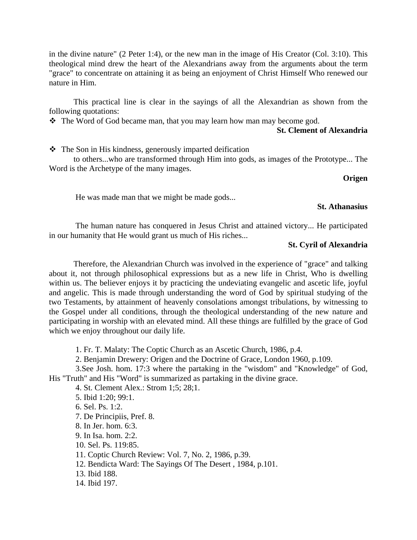in the divine nature" (2 Peter 1:4), or the new man in the image of His Creator (Col. 3:10). This theological mind drew the heart of the Alexandrians away from the arguments about the term "grace" to concentrate on attaining it as being an enjoyment of Christ Himself Who renewed our nature in Him.

This practical line is clear in the sayings of all the Alexandrian as shown from the following quotations:

The Word of God became man, that you may learn how man may become god.

### **St. Clement of Alexandria**

• The Son in His kindness, generously imparted deification

to others...who are transformed through Him into gods, as images of the Prototype... The Word is the Archetype of the many images.

 **Origen** 

He was made man that we might be made gods...

### **St. Athanasius**

 The human nature has conquered in Jesus Christ and attained victory... He participated in our humanity that He would grant us much of His riches...

### **St. Cyril of Alexandria**

Therefore, the Alexandrian Church was involved in the experience of "grace" and talking about it, not through philosophical expressions but as a new life in Christ, Who is dwelling within us. The believer enjoys it by practicing the undeviating evangelic and ascetic life, joyful and angelic. This is made through understanding the word of God by spiritual studying of the two Testaments, by attainment of heavenly consolations amongst tribulations, by witnessing to the Gospel under all conditions, through the theological understanding of the new nature and participating in worship with an elevated mind. All these things are fulfilled by the grace of God which we enjoy throughout our daily life.

1. Fr. T. Malaty: The Coptic Church as an Ascetic Church, 1986, p.4.

2. Benjamin Drewery: Origen and the Doctrine of Grace, London 1960, p.109.

 3.See Josh. hom. 17:3 where the partaking in the "wisdom" and "Knowledge" of God, His "Truth" and His "Word" is summarized as partaking in the divine grace.

 4. St. Clement Alex.: Strom 1;5; 28;1. 5. Ibid 1:20; 99:1. 6. Sel. Ps. 1:2. 7. De Principiis, Pref. 8. 8. In Jer. hom. 6:3.

9. In Isa. hom. 2:2.

10. Sel. Ps. 119:85.

11. Coptic Church Review: Vol. 7, No. 2, 1986, p.39.

12. Bendicta Ward: The Sayings Of The Desert , 1984, p.101.

13. Ibid 188.

14. Ibid 197.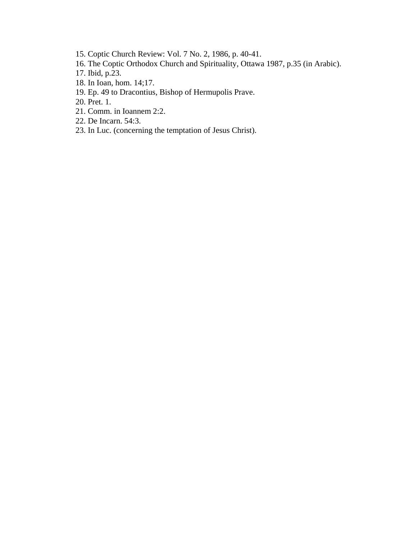- 15. Coptic Church Review: Vol. 7 No. 2, 1986, p. 40-41.
- 16. The Coptic Orthodox Church and Spirituality, Ottawa 1987, p.35 (in Arabic).
- 17. Ibid, p.23.
- 18. In Ioan, hom. 14;17.
- 19. Ep. 49 to Dracontius, Bishop of Hermupolis Prave.
- 20. Pret. 1.
- 21. Comm. in Ioannem 2:2.
- 22. De Incarn. 54:3.
- 23. In Luc. (concerning the temptation of Jesus Christ).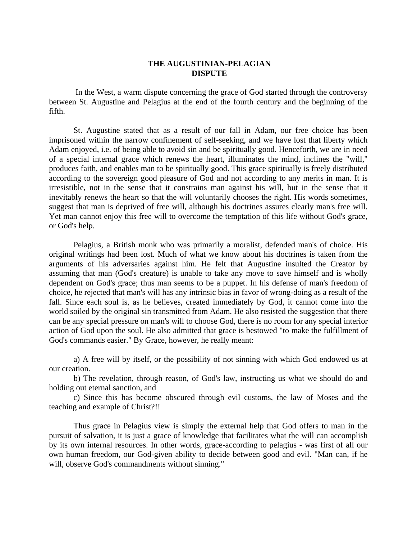### **THE AUGUSTINIAN-PELAGIAN DISPUTE**

 In the West, a warm dispute concerning the grace of God started through the controversy between St. Augustine and Pelagius at the end of the fourth century and the beginning of the fifth.

St. Augustine stated that as a result of our fall in Adam, our free choice has been imprisoned within the narrow confinement of self-seeking, and we have lost that liberty which Adam enjoyed, i.e. of being able to avoid sin and be spiritually good. Henceforth, we are in need of a special internal grace which renews the heart, illuminates the mind, inclines the "will," produces faith, and enables man to be spiritually good. This grace spiritually is freely distributed according to the sovereign good pleasure of God and not according to any merits in man. It is irresistible, not in the sense that it constrains man against his will, but in the sense that it inevitably renews the heart so that the will voluntarily chooses the right. His words sometimes, suggest that man is deprived of free will, although his doctrines assures clearly man's free will. Yet man cannot enjoy this free will to overcome the temptation of this life without God's grace, or God's help.

Pelagius, a British monk who was primarily a moralist, defended man's of choice. His original writings had been lost. Much of what we know about his doctrines is taken from the arguments of his adversaries against him. He felt that Augustine insulted the Creator by assuming that man (God's creature) is unable to take any move to save himself and is wholly dependent on God's grace; thus man seems to be a puppet. In his defense of man's freedom of choice, he rejected that man's will has any intrinsic bias in favor of wrong-doing as a result of the fall. Since each soul is, as he believes, created immediately by God, it cannot come into the world soiled by the original sin transmitted from Adam. He also resisted the suggestion that there can be any special pressure on man's will to choose God, there is no room for any special interior action of God upon the soul. He also admitted that grace is bestowed "to make the fulfillment of God's commands easier." By Grace, however, he really meant:

a) A free will by itself, or the possibility of not sinning with which God endowed us at our creation.

b) The revelation, through reason, of God's law, instructing us what we should do and holding out eternal sanction, and

c) Since this has become obscured through evil customs, the law of Moses and the teaching and example of Christ?!!

Thus grace in Pelagius view is simply the external help that God offers to man in the pursuit of salvation, it is just a grace of knowledge that facilitates what the will can accomplish by its own internal resources. In other words, grace-according to pelagius - was first of all our own human freedom, our God-given ability to decide between good and evil. "Man can, if he will, observe God's commandments without sinning."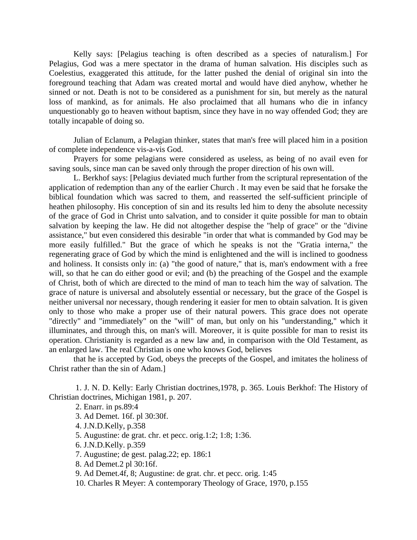Kelly says: [Pelagius teaching is often described as a species of naturalism.] For Pelagius, God was a mere spectator in the drama of human salvation. His disciples such as Coelestius, exaggerated this attitude, for the latter pushed the denial of original sin into the foreground teaching that Adam was created mortal and would have died anyhow, whether he sinned or not. Death is not to be considered as a punishment for sin, but merely as the natural loss of mankind, as for animals. He also proclaimed that all humans who die in infancy unquestionably go to heaven without baptism, since they have in no way offended God; they are totally incapable of doing so.

Julian of Eclanum, a Pelagian thinker, states that man's free will placed him in a position of complete independence vis-a-vis God.

Prayers for some pelagians were considered as useless, as being of no avail even for saving souls, since man can be saved only through the proper direction of his own will.

L. Berkhof says: [Pelagius deviated much further from the scriptural representation of the application of redemption than any of the earlier Church . It may even be said that he forsake the biblical foundation which was sacred to them, and reasserted the self-sufficient principle of heathen philosophy. His conception of sin and its results led him to deny the absolute necessity of the grace of God in Christ unto salvation, and to consider it quite possible for man to obtain salvation by keeping the law. He did not altogether despise the "help of grace" or the "divine assistance," but even considered this desirable "in order that what is commanded by God may be more easily fulfilled." But the grace of which he speaks is not the "Gratia interna," the regenerating grace of God by which the mind is enlightened and the will is inclined to goodness and holiness. It consists only in: (a) "the good of nature," that is, man's endowment with a free will, so that he can do either good or evil; and (b) the preaching of the Gospel and the example of Christ, both of which are directed to the mind of man to teach him the way of salvation. The grace of nature is universal and absolutely essential or necessary, but the grace of the Gospel is neither universal nor necessary, though rendering it easier for men to obtain salvation. It is given only to those who make a proper use of their natural powers. This grace does not operate "directly" and "immediately" on the "will" of man, but only on his "understanding," which it illuminates, and through this, on man's will. Moreover, it is quite possible for man to resist its operation. Christianity is regarded as a new law and, in comparison with the Old Testament, as an enlarged law. The real Christian is one who knows God, believes

that he is accepted by God, obeys the precepts of the Gospel, and imitates the holiness of Christ rather than the sin of Adam.]

 1. J. N. D. Kelly: Early Christian doctrines,1978, p. 365. Louis Berkhof: The History of Christian doctrines, Michigan 1981, p. 207.

2. Enarr. in ps.89:4

3. Ad Demet. 16f. pl 30:30f.

4. J.N.D.Kelly, p.358

5. Augustine: de grat. chr. et pecc. orig.1:2; 1:8; 1:36.

6. J.N.D.Kelly. p.359

7. Augustine; de gest. palag.22; ep. 186:1

8. Ad Demet.2 pl 30:16f.

9. Ad Demet.4f, 8; Augustine: de grat. chr. et pecc. orig. 1:45

10. Charles R Meyer: A contemporary Theology of Grace, 1970, p.155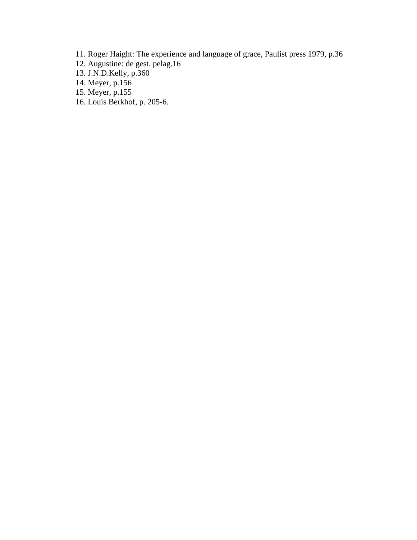- 11. Roger Haight: The experience and language of grace, Paulist press 1979, p.36
- 12. Augustine: de gest. pelag.16
- 13. J.N.D.Kelly, p.360
- 14. Meyer, p.156
- 15. Meyer, p.155
- 16. Louis Berkhof, p. 205-6.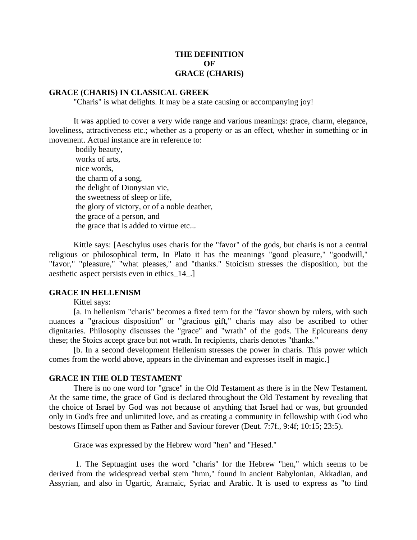### **THE DEFINITION OF GRACE (CHARIS)**

### **GRACE (CHARIS) IN CLASSICAL GREEK**

"Charis" is what delights. It may be a state causing or accompanying joy!

It was applied to cover a very wide range and various meanings: grace, charm, elegance, loveliness, attractiveness etc.; whether as a property or as an effect, whether in something or in movement. Actual instance are in reference to:

 bodily beauty, works of arts, nice words, the charm of a song, the delight of Dionysian vie, the sweetness of sleep or life, the glory of victory, or of a noble deather, the grace of a person, and the grace that is added to virtue etc...

Kittle says: [Aeschylus uses charis for the "favor" of the gods, but charis is not a central religious or philosophical term, In Plato it has the meanings "good pleasure," "goodwill," "favor," "pleasure," "what pleases," and "thanks." Stoicism stresses the disposition, but the aesthetic aspect persists even in ethics\_14\_.]

### **GRACE IN HELLENISM**

Kittel says:

[a. In hellenism "charis" becomes a fixed term for the "favor shown by rulers, with such nuances a "gracious disposition" or "gracious gift," charis may also be ascribed to other dignitaries. Philosophy discusses the "grace" and "wrath" of the gods. The Epicureans deny these; the Stoics accept grace but not wrath. In recipients, charis denotes "thanks."

[b. In a second development Hellenism stresses the power in charis. This power which comes from the world above, appears in the divineman and expresses itself in magic.]

#### **GRACE IN THE OLD TESTAMENT**

There is no one word for "grace" in the Old Testament as there is in the New Testament. At the same time, the grace of God is declared throughout the Old Testament by revealing that the choice of Israel by God was not because of anything that Israel had or was, but grounded only in God's free and unlimited love, and as creating a community in fellowship with God who bestows Himself upon them as Father and Saviour forever (Deut. 7:7f., 9:4f; 10:15; 23:5).

Grace was expressed by the Hebrew word "hen" and "Hesed."

 1. The Septuagint uses the word "charis" for the Hebrew "hen," which seems to be derived from the widespread verbal stem "hmn," found in ancient Babylonian, Akkadian, and Assyrian, and also in Ugartic, Aramaic, Syriac and Arabic. It is used to express as "to find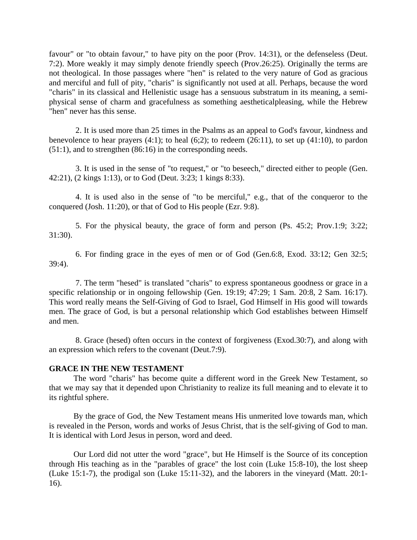favour" or "to obtain favour," to have pity on the poor (Prov. 14:31), or the defenseless (Deut. 7:2). More weakly it may simply denote friendly speech (Prov.26:25). Originally the terms are not theological. In those passages where "hen" is related to the very nature of God as gracious and merciful and full of pity, "charis" is significantly not used at all. Perhaps, because the word "charis" in its classical and Hellenistic usage has a sensuous substratum in its meaning, a semiphysical sense of charm and gracefulness as something aestheticalpleasing, while the Hebrew "hen" never has this sense.

 2. It is used more than 25 times in the Psalms as an appeal to God's favour, kindness and benevolence to hear prayers  $(4:1)$ ; to heal  $(6:2)$ ; to redeem  $(26:11)$ , to set up  $(41:10)$ , to pardon (51:1), and to strengthen (86:16) in the corresponding needs.

 3. It is used in the sense of "to request," or "to beseech," directed either to people (Gen. 42:21), (2 kings 1:13), or to God (Deut. 3:23; 1 kings 8:33).

 4. It is used also in the sense of "to be merciful," e.g., that of the conqueror to the conquered (Josh. 11:20), or that of God to His people (Ezr. 9:8).

 5. For the physical beauty, the grace of form and person (Ps. 45:2; Prov.1:9; 3:22; 31:30).

 6. For finding grace in the eyes of men or of God (Gen.6:8, Exod. 33:12; Gen 32:5; 39:4).

 7. The term "hesed" is translated "charis" to express spontaneous goodness or grace in a specific relationship or in ongoing fellowship (Gen. 19:19; 47:29; 1 Sam. 20:8, 2 Sam. 16:17). This word really means the Self-Giving of God to Israel, God Himself in His good will towards men. The grace of God, is but a personal relationship which God establishes between Himself and men.

 8. Grace (hesed) often occurs in the context of forgiveness (Exod.30:7), and along with an expression which refers to the covenant (Deut.7:9).

### **GRACE IN THE NEW TESTAMENT**

The word "charis" has become quite a different word in the Greek New Testament, so that we may say that it depended upon Christianity to realize its full meaning and to elevate it to its rightful sphere.

By the grace of God, the New Testament means His unmerited love towards man, which is revealed in the Person, words and works of Jesus Christ, that is the self-giving of God to man. It is identical with Lord Jesus in person, word and deed.

Our Lord did not utter the word "grace", but He Himself is the Source of its conception through His teaching as in the "parables of grace" the lost coin (Luke 15:8-10), the lost sheep (Luke 15:1-7), the prodigal son (Luke 15:11-32), and the laborers in the vineyard (Matt. 20:1- 16).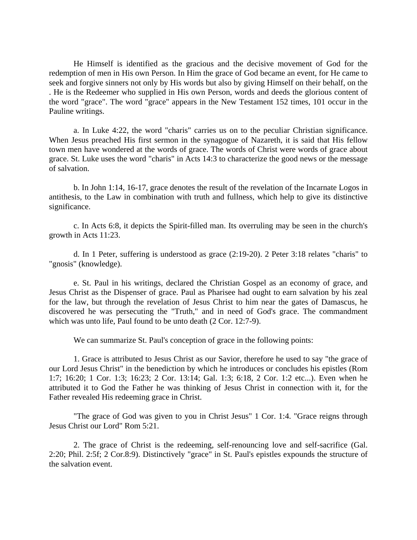He Himself is identified as the gracious and the decisive movement of God for the redemption of men in His own Person. In Him the grace of God became an event, for He came to seek and forgive sinners not only by His words but also by giving Himself on their behalf, on the . He is the Redeemer who supplied in His own Person, words and deeds the glorious content of the word "grace". The word "grace" appears in the New Testament 152 times, 101 occur in the Pauline writings.

a. In Luke 4:22, the word "charis" carries us on to the peculiar Christian significance. When Jesus preached His first sermon in the synagogue of Nazareth, it is said that His fellow town men have wondered at the words of grace. The words of Christ were words of grace about grace. St. Luke uses the word "charis" in Acts 14:3 to characterize the good news or the message of salvation.

b. In John 1:14, 16-17, grace denotes the result of the revelation of the Incarnate Logos in antithesis, to the Law in combination with truth and fullness, which help to give its distinctive significance.

c. In Acts 6:8, it depicts the Spirit-filled man. Its overruling may be seen in the church's growth in Acts 11:23.

d. In 1 Peter, suffering is understood as grace (2:19-20). 2 Peter 3:18 relates "charis" to "gnosis" (knowledge).

e. St. Paul in his writings, declared the Christian Gospel as an economy of grace, and Jesus Christ as the Dispenser of grace. Paul as Pharisee had ought to earn salvation by his zeal for the law, but through the revelation of Jesus Christ to him near the gates of Damascus, he discovered he was persecuting the "Truth," and in need of God's grace. The commandment which was unto life, Paul found to be unto death  $(2 \text{ Cor. } 12:7-9)$ .

We can summarize St. Paul's conception of grace in the following points:

1. Grace is attributed to Jesus Christ as our Savior, therefore he used to say "the grace of our Lord Jesus Christ" in the benediction by which he introduces or concludes his epistles (Rom 1:7; 16:20; 1 Cor. 1:3; 16:23; 2 Cor. 13:14; Gal. 1:3; 6:18, 2 Cor. 1:2 etc...). Even when he attributed it to God the Father he was thinking of Jesus Christ in connection with it, for the Father revealed His redeeming grace in Christ.

"The grace of God was given to you in Christ Jesus" 1 Cor. 1:4. "Grace reigns through Jesus Christ our Lord" Rom 5:21.

2. The grace of Christ is the redeeming, self-renouncing love and self-sacrifice (Gal. 2:20; Phil. 2:5f; 2 Cor.8:9). Distinctively "grace" in St. Paul's epistles expounds the structure of the salvation event.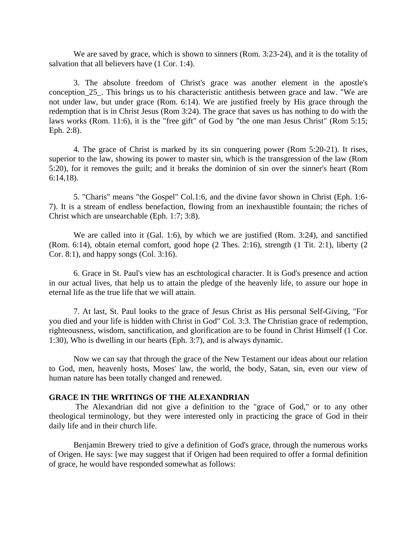We are saved by grace, which is shown to sinners (Rom. 3:23-24), and it is the totality of salvation that all believers have (1 Cor. 1:4).

3. The absolute freedom of Christ's grace was another element in the apostle's conception\_25\_. This brings us to his characteristic antithesis between grace and law. "We are not under law, but under grace (Rom. 6:14). We are justified freely by His grace through the redemption that is in Christ Jesus (Rom 3:24). The grace that saves us has nothing to do with the laws works (Rom. 11:6), it is the "free gift" of God by "the one man Jesus Christ" (Rom 5:15; Eph. 2:8).

4. The grace of Christ is marked by its sin conquering power (Rom 5:20-21). It rises, superior to the law, showing its power to master sin, which is the transgression of the law (Rom 5:20), for it removes the guilt; and it breaks the dominion of sin over the sinner's heart (Rom 6:14,18).

5. "Charis" means "the Gospel" Col.1:6, and the divine favor shown in Christ (Eph. 1:6- 7). It is a stream of endless benefaction, flowing from an inexhaustible fountain; the riches of Christ which are unsearchable (Eph. 1:7; 3:8).

We are called into it (Gal. 1:6), by which we are justified (Rom. 3:24), and sanctified (Rom. 6:14), obtain eternal comfort, good hope (2 Thes. 2:16), strength (1 Tit. 2:1), liberty (2 Cor. 8:1), and happy songs (Col. 3:16).

6. Grace in St. Paul's view has an eschtological character. It is God's presence and action in our actual lives, that help us to attain the pledge of the heavenly life, to assure our hope in eternal life as the true life that we will attain.

7. At last, St. Paul looks to the grace of Jesus Christ as His personal Self-Giving, "For you died and your life is hidden with Christ in God" Col. 3:3. The Christian grace of redemption, righteousness, wisdom, sanctification, and glorification are to be found in Christ Himself (1 Cor. 1:30), Who is dwelling in our hearts (Eph. 3:7), and is always dynamic.

Now we can say that through the grace of the New Testament our ideas about our relation to God, men, heavenly hosts, Moses' law, the world, the body, Satan, sin, even our view of human nature has been totally changed and renewed.

### **GRACE IN THE WRITINGS OF THE ALEXANDRIAN**

 The Alexandrian did not give a definition to the "grace of God," or to any other theological terminology, but they were interested only in practicing the grace of God in their daily life and in their church life.

Benjamin Brewery tried to give a definition of God's grace, through the numerous works of Origen. He says: [we may suggest that if Origen had been required to offer a formal definition of grace, he would have responded somewhat as follows: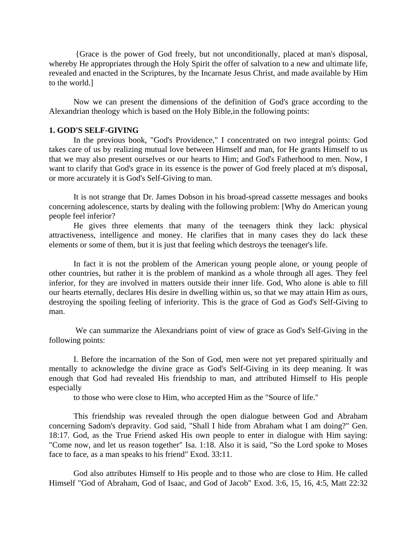{Grace is the power of God freely, but not unconditionally, placed at man's disposal, whereby He appropriates through the Holy Spirit the offer of salvation to a new and ultimate life, revealed and enacted in the Scriptures, by the Incarnate Jesus Christ, and made available by Him to the world.]

Now we can present the dimensions of the definition of God's grace according to the Alexandrian theology which is based on the Holy Bible,in the following points:

#### **1. GOD'S SELF-GIVING**

In the previous book, "God's Providence," I concentrated on two integral points: God takes care of us by realizing mutual love between Himself and man, for He grants Himself to us that we may also present ourselves or our hearts to Him; and God's Fatherhood to men. Now, I want to clarify that God's grace in its essence is the power of God freely placed at m's disposal, or more accurately it is God's Self-Giving to man.

It is not strange that Dr. James Dobson in his broad-spread cassette messages and books concerning adolescence, starts by dealing with the following problem: [Why do American young people feel inferior?

He gives three elements that many of the teenagers think they lack: physical attractiveness, intelligence and money. He clarifies that in many cases they do lack these elements or some of them, but it is just that feeling which destroys the teenager's life.

In fact it is not the problem of the American young people alone, or young people of other countries, but rather it is the problem of mankind as a whole through all ages. They feel inferior, for they are involved in matters outside their inner life. God, Who alone is able to fill our hearts eternally, declares His desire in dwelling within us, so that we may attain Him as ours, destroying the spoiling feeling of inferiority. This is the grace of God as God's Self-Giving to man.

 We can summarize the Alexandrians point of view of grace as God's Self-Giving in the following points:

I. Before the incarnation of the Son of God, men were not yet prepared spiritually and mentally to acknowledge the divine grace as God's Self-Giving in its deep meaning. It was enough that God had revealed His friendship to man, and attributed Himself to His people especially

to those who were close to Him, who accepted Him as the "Source of life."

This friendship was revealed through the open dialogue between God and Abraham concerning Sadom's depravity. God said, "Shall I hide from Abraham what I am doing?" Gen. 18:17. God, as the True Friend asked His own people to enter in dialogue with Him saying: "Come now, and let us reason together" Isa. 1:18. Also it is said, "So the Lord spoke to Moses face to face, as a man speaks to his friend" Exod. 33:11.

God also attributes Himself to His people and to those who are close to Him. He called Himself "God of Abraham, God of Isaac, and God of Jacob" Exod. 3:6, 15, 16, 4:5, Matt 22:32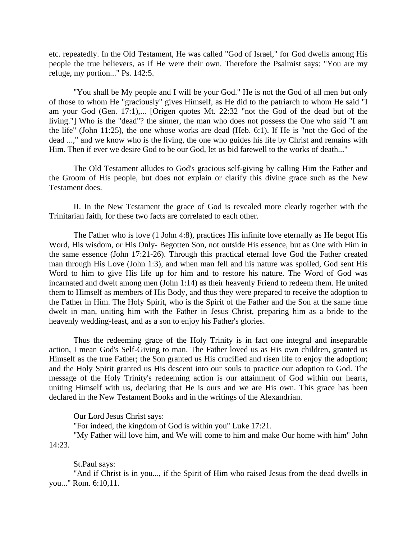etc. repeatedly. In the Old Testament, He was called "God of Israel," for God dwells among His people the true believers, as if He were their own. Therefore the Psalmist says: "You are my refuge, my portion..." Ps. 142:5.

"You shall be My people and I will be your God." He is not the God of all men but only of those to whom He "graciously" gives Himself, as He did to the patriarch to whom He said "I am your God (Gen. 17:1),... [Origen quotes Mt. 22:32 "not the God of the dead but of the living."] Who is the "dead"? the sinner, the man who does not possess the One who said "I am the life" (John 11:25), the one whose works are dead (Heb. 6:1). If He is "not the God of the dead ...," and we know who is the living, the one who guides his life by Christ and remains with Him. Then if ever we desire God to be our God, let us bid farewell to the works of death..."

The Old Testament alludes to God's gracious self-giving by calling Him the Father and the Groom of His people, but does not explain or clarify this divine grace such as the New Testament does.

II. In the New Testament the grace of God is revealed more clearly together with the Trinitarian faith, for these two facts are correlated to each other.

The Father who is love (1 John 4:8), practices His infinite love eternally as He begot His Word, His wisdom, or His Only- Begotten Son, not outside His essence, but as One with Him in the same essence (John 17:21-26). Through this practical eternal love God the Father created man through His Love (John 1:3), and when man fell and his nature was spoiled, God sent His Word to him to give His life up for him and to restore his nature. The Word of God was incarnated and dwelt among men (John 1:14) as their heavenly Friend to redeem them. He united them to Himself as members of His Body, and thus they were prepared to receive the adoption to the Father in Him. The Holy Spirit, who is the Spirit of the Father and the Son at the same time dwelt in man, uniting him with the Father in Jesus Christ, preparing him as a bride to the heavenly wedding-feast, and as a son to enjoy his Father's glories.

Thus the redeeming grace of the Holy Trinity is in fact one integral and inseparable action, I mean God's Self-Giving to man. The Father loved us as His own children, granted us Himself as the true Father; the Son granted us His crucified and risen life to enjoy the adoption; and the Holy Spirit granted us His descent into our souls to practice our adoption to God. The message of the Holy Trinity's redeeming action is our attainment of God within our hearts, uniting Himself with us, declaring that He is ours and we are His own. This grace has been declared in the New Testament Books and in the writings of the Alexandrian.

Our Lord Jesus Christ says:

"For indeed, the kingdom of God is within you" Luke 17:21.

"My Father will love him, and We will come to him and make Our home with him" John  $14:23$ .

St.Paul says:

"And if Christ is in you..., if the Spirit of Him who raised Jesus from the dead dwells in you..." Rom. 6:10,11.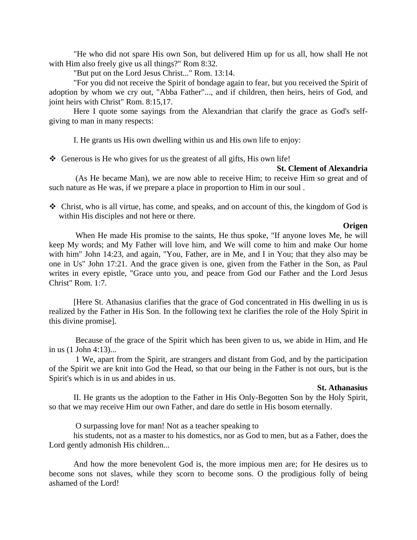"He who did not spare His own Son, but delivered Him up for us all, how shall He not with Him also freely give us all things?" Rom 8:32.

"But put on the Lord Jesus Christ..." Rom. 13:14.

"For you did not receive the Spirit of bondage again to fear, but you received the Spirit of adoption by whom we cry out, "Abba Father"..., and if children, then heirs, heirs of God, and joint heirs with Christ" Rom. 8:15,17.

Here I quote some sayings from the Alexandrian that clarify the grace as God's selfgiving to man in many respects:

I. He grants us His own dwelling within us and His own life to enjoy:

Generous is He who gives for us the greatest of all gifts, His own life!

### **St. Clement of Alexandria**

 (As He became Man), we are now able to receive Him; to receive Him so great and of such nature as He was, if we prepare a place in proportion to Him in our soul .

 $\triangle$  Christ, who is all virtue, has come, and speaks, and on account of this, the kingdom of God is within His disciples and not here or there.

### **Origen**

 When He made His promise to the saints, He thus spoke, "If anyone loves Me, he will keep My words; and My Father will love him, and We will come to him and make Our home with him" John 14:23, and again, "You, Father, are in Me, and I in You; that they also may be one in Us" John 17:21. And the grace given is one, given from the Father in the Son, as Paul writes in every epistle, "Grace unto you, and peace from God our Father and the Lord Jesus Christ" Rom. 1:7.

[Here St. Athanasius clarifies that the grace of God concentrated in His dwelling in us is realized by the Father in His Son. In the following text he clarifies the role of the Holy Spirit in this divine promise].

 Because of the grace of the Spirit which has been given to us, we abide in Him, and He in us (1 John 4:13)...

 1 We, apart from the Spirit, are strangers and distant from God, and by the participation of the Spirit we are knit into God the Head, so that our being in the Father is not ours, but is the Spirit's which is in us and abides in us.

#### **St. Athanasius**

II. He grants us the adoption to the Father in His Only-Begotten Son by the Holy Spirit, so that we may receive Him our own Father, and dare do settle in His bosom eternally.

O surpassing love for man! Not as a teacher speaking to

his students, not as a master to his domestics, nor as God to men, but as a Father, does the Lord gently admonish His children...

And how the more benevolent God is, the more impious men are; for He desires us to become sons not slaves, while they scorn to become sons. O the prodigious folly of being ashamed of the Lord!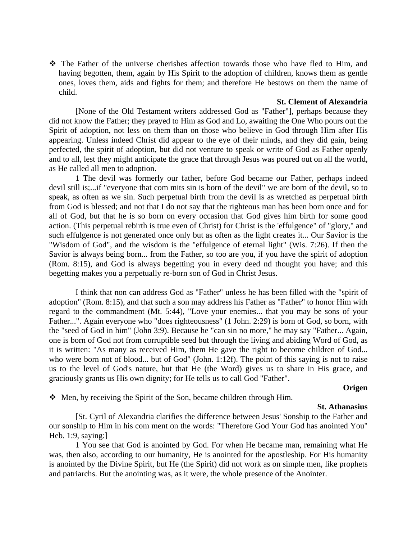The Father of the universe cherishes affection towards those who have fled to Him, and having begotten, them, again by His Spirit to the adoption of children, knows them as gentle ones, loves them, aids and fights for them; and therefore He bestows on them the name of child.

### **St. Clement of Alexandria**

 [None of the Old Testament writers addressed God as "Father"], perhaps because they did not know the Father; they prayed to Him as God and Lo, awaiting the One Who pours out the Spirit of adoption, not less on them than on those who believe in God through Him after His appearing. Unless indeed Christ did appear to the eye of their minds, and they did gain, being perfected, the spirit of adoption, but did not venture to speak or write of God as Father openly and to all, lest they might anticipate the grace that through Jesus was poured out on all the world, as He called all men to adoption.

 1 The devil was formerly our father, before God became our Father, perhaps indeed devil still is;...if "everyone that com mits sin is born of the devil" we are born of the devil, so to speak, as often as we sin. Such perpetual birth from the devil is as wretched as perpetual birth from God is blessed; and not that I do not say that the righteous man has been born once and for all of God, but that he is so born on every occasion that God gives him birth for some good action. (This perpetual rebirth is true even of Christ) for Christ is the 'effulgence" of "glory," and such effulgence is not generated once only but as often as the light creates it... Our Savior is the "Wisdom of God", and the wisdom is the "effulgence of eternal light" (Wis. 7:26). If then the Savior is always being born... from the Father, so too are you, if you have the spirit of adoption (Rom. 8:15), and God is always begetting you in every deed nd thought you have; and this begetting makes you a perpetually re-born son of God in Christ Jesus.

 I think that non can address God as "Father" unless he has been filled with the "spirit of adoption" (Rom. 8:15), and that such a son may address his Father as "Father" to honor Him with regard to the commandment (Mt. 5:44), "Love your enemies... that you may be sons of your Father...". Again everyone who "does righteousness" (1 John. 2:29) is born of God, so born, with the "seed of God in him" (John 3:9). Because he "can sin no more," he may say "Father... Again, one is born of God not from corruptible seed but through the living and abiding Word of God, as it is written: "As many as received Him, them He gave the right to become children of God... who were born not of blood... but of God" (John. 1:12f). The point of this saying is not to raise us to the level of God's nature, but that He (the Word) gives us to share in His grace, and graciously grants us His own dignity; for He tells us to call God "Father".

#### **Origen**

• Men, by receiving the Spirit of the Son, became children through Him.

### **St. Athanasius**

 [St. Cyril of Alexandria clarifies the difference between Jesus' Sonship to the Father and our sonship to Him in his com ment on the words: "Therefore God Your God has anointed You" Heb. 1:9, saying:1

 1 You see that God is anointed by God. For when He became man, remaining what He was, then also, according to our humanity, He is anointed for the apostleship. For His humanity is anointed by the Divine Spirit, but He (the Spirit) did not work as on simple men, like prophets and patriarchs. But the anointing was, as it were, the whole presence of the Anointer.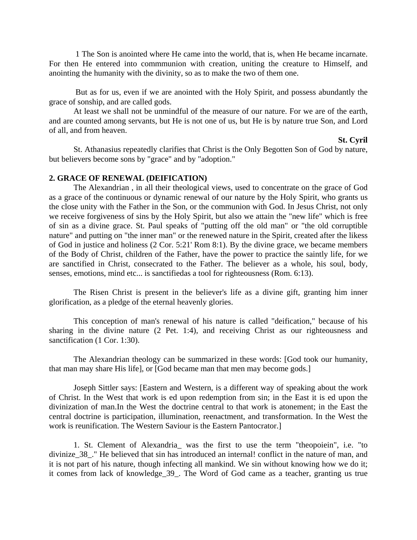1 The Son is anointed where He came into the world, that is, when He became incarnate. For then He entered into commmunion with creation, uniting the creature to Himself, and anointing the humanity with the divinity, so as to make the two of them one.

 But as for us, even if we are anointed with the Holy Spirit, and possess abundantly the grace of sonship, and are called gods.

At least we shall not be unmindful of the measure of our nature. For we are of the earth, and are counted among servants, but He is not one of us, but He is by nature true Son, and Lord of all, and from heaven.

#### **St. Cyril**

St. Athanasius repeatedly clarifies that Christ is the Only Begotten Son of God by nature, but believers become sons by "grace" and by "adoption."

#### **2. GRACE OF RENEWAL (DEIFICATION)**

The Alexandrian , in all their theological views, used to concentrate on the grace of God as a grace of the continuous or dynamic renewal of our nature by the Holy Spirit, who grants us the close unity with the Father in the Son, or the communion with God. In Jesus Christ, not only we receive forgiveness of sins by the Holy Spirit, but also we attain the "new life" which is free of sin as a divine grace. St. Paul speaks of "putting off the old man" or "the old corruptible nature" and putting on "the inner man" or the renewed nature in the Spirit, created after the likess of God in justice and holiness (2 Cor. 5:21' Rom 8:1). By the divine grace, we became members of the Body of Christ, children of the Father, have the power to practice the saintly life, for we are sanctified in Christ, consecrated to the Father. The believer as a whole, his soul, body, senses, emotions, mind etc... is sanctifiedas a tool for righteousness (Rom. 6:13).

The Risen Christ is present in the believer's life as a divine gift, granting him inner glorification, as a pledge of the eternal heavenly glories.

This conception of man's renewal of his nature is called "deification," because of his sharing in the divine nature (2 Pet. 1:4), and receiving Christ as our righteousness and sanctification (1 Cor. 1:30).

The Alexandrian theology can be summarized in these words: [God took our humanity, that man may share His life], or [God became man that men may become gods.]

Joseph Sittler says: [Eastern and Western, is a different way of speaking about the work of Christ. In the West that work is ed upon redemption from sin; in the East it is ed upon the divinization of man.In the West the doctrine central to that work is atonement; in the East the central doctrine is participation, illumination, reenactment, and transformation. In the West the work is reunification. The Western Saviour is the Eastern Pantocrator.]

1. St. Clement of Alexandria\_ was the first to use the term "theopoiein", i.e. "to divinize\_38\_." He believed that sin has introduced an internal! conflict in the nature of man, and it is not part of his nature, though infecting all mankind. We sin without knowing how we do it; it comes from lack of knowledge\_39\_. The Word of God came as a teacher, granting us true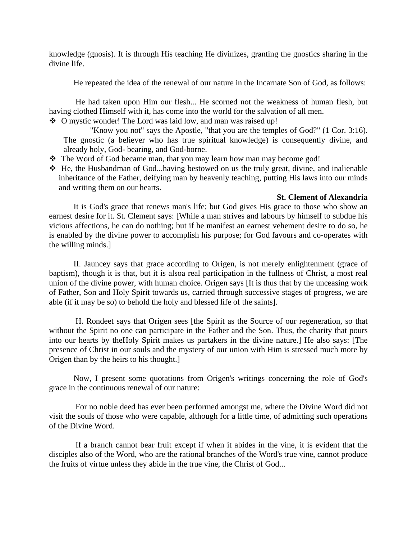knowledge (gnosis). It is through His teaching He divinizes, granting the gnostics sharing in the divine life.

He repeated the idea of the renewal of our nature in the Incarnate Son of God, as follows:

 He had taken upon Him our flesh... He scorned not the weakness of human flesh, but having clothed Himself with it, has come into the world for the salvation of all men.

O mystic wonder! The Lord was laid low, and man was raised up!

 "Know you not" says the Apostle, "that you are the temples of God?" (1 Cor. 3:16). The gnostic (a believer who has true spiritual knowledge) is consequently divine, and already holy, God- bearing, and God-borne.

- \* The Word of God became man, that you may learn how man may become god!
- He, the Husbandman of God...having bestowed on us the truly great, divine, and inalienable inheritance of the Father, deifying man by heavenly teaching, putting His laws into our minds and writing them on our hearts.

### **St. Clement of Alexandria**

It is God's grace that renews man's life; but God gives His grace to those who show an earnest desire for it. St. Clement says: [While a man strives and labours by himself to subdue his vicious affections, he can do nothing; but if he manifest an earnest vehement desire to do so, he is enabled by the divine power to accomplish his purpose; for God favours and co-operates with the willing minds.]

II. Jauncey says that grace according to Origen, is not merely enlightenment (grace of baptism), though it is that, but it is alsoa real participation in the fullness of Christ, a most real union of the divine power, with human choice. Origen says [It is thus that by the unceasing work of Father, Son and Holy Spirit towards us, carried through successive stages of progress, we are able (if it may be so) to behold the holy and blessed life of the saints].

 H. Rondeet says that Origen sees [the Spirit as the Source of our regeneration, so that without the Spirit no one can participate in the Father and the Son. Thus, the charity that pours into our hearts by theHoly Spirit makes us partakers in the divine nature.] He also says: [The presence of Christ in our souls and the mystery of our union with Him is stressed much more by Origen than by the heirs to his thought.]

Now, I present some quotations from Origen's writings concerning the role of God's grace in the continuous renewal of our nature:

 For no noble deed has ever been performed amongst me, where the Divine Word did not visit the souls of those who were capable, although for a little time, of admitting such operations of the Divine Word.

 If a branch cannot bear fruit except if when it abides in the vine, it is evident that the disciples also of the Word, who are the rational branches of the Word's true vine, cannot produce the fruits of virtue unless they abide in the true vine, the Christ of God...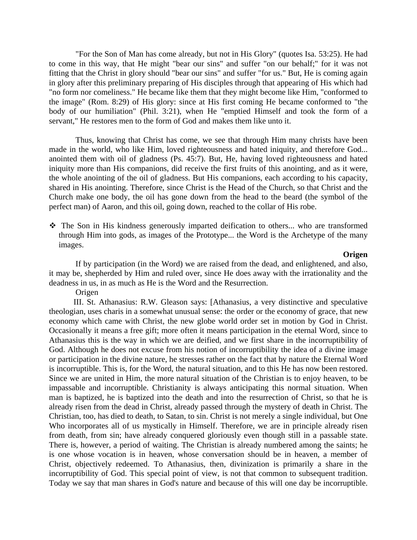"For the Son of Man has come already, but not in His Glory" (quotes Isa. 53:25). He had to come in this way, that He might "bear our sins" and suffer "on our behalf;" for it was not fitting that the Christ in glory should "bear our sins" and suffer "for us." But, He is coming again in glory after this preliminary preparing of His disciples through that appearing of His which had "no form nor comeliness." He became like them that they might become like Him, "conformed to the image" (Rom. 8:29) of His glory: since at His first coming He became conformed to "the body of our humiliation" (Phil. 3:21), when He "emptied Himself and took the form of a servant," He restores men to the form of God and makes them like unto it.

 Thus, knowing that Christ has come, we see that through Him many christs have been made in the world, who like Him, loved righteousness and hated iniquity, and therefore God... anointed them with oil of gladness (Ps. 45:7). But, He, having loved righteousness and hated iniquity more than His companions, did receive the first fruits of this anointing, and as it were, the whole anointing of the oil of gladness. But His companions, each according to his capacity, shared in His anointing. Therefore, since Christ is the Head of the Church, so that Christ and the Church make one body, the oil has gone down from the head to the beard (the symbol of the perfect man) of Aaron, and this oil, going down, reached to the collar of His robe.

 The Son in His kindness generously imparted deification to others... who are transformed through Him into gods, as images of the Prototype... the Word is the Archetype of the many images.

#### **Origen**

 If by participation (in the Word) we are raised from the dead, and enlightened, and also, it may be, shepherded by Him and ruled over, since He does away with the irrationality and the deadness in us, in as much as He is the Word and the Resurrection.

Origen

III. St. Athanasius: R.W. Gleason says: [Athanasius, a very distinctive and speculative theologian, uses charis in a somewhat unusual sense: the order or the economy of grace, that new economy which came with Christ, the new globe world order set in motion by God in Christ. Occasionally it means a free gift; more often it means participation in the eternal Word, since to Athanasius this is the way in which we are deified, and we first share in the incorruptibility of God. Although he does not excuse from his notion of incorruptibility the idea of a divine image or participation in the divine nature, he stresses rather on the fact that by nature the Eternal Word is incorruptible. This is, for the Word, the natural situation, and to this He has now been restored. Since we are united in Him, the more natural situation of the Christian is to enjoy heaven, to be impassable and incorruptible. Christianity is always anticipating this normal situation. When man is baptized, he is baptized into the death and into the resurrection of Christ, so that he is already risen from the dead in Christ, already passed through the mystery of death in Christ. The Christian, too, has died to death, to Satan, to sin. Christ is not merely a single individual, but One Who incorporates all of us mystically in Himself. Therefore, we are in principle already risen from death, from sin; have already conquered gloriously even though still in a passable state. There is, however, a period of waiting. The Christian is already numbered among the saints; he is one whose vocation is in heaven, whose conversation should be in heaven, a member of Christ, objectively redeemed. To Athanasius, then, divinization is primarily a share in the incorruptibility of God. This special point of view, is not that common to subsequent tradition. Today we say that man shares in God's nature and because of this will one day be incorruptible.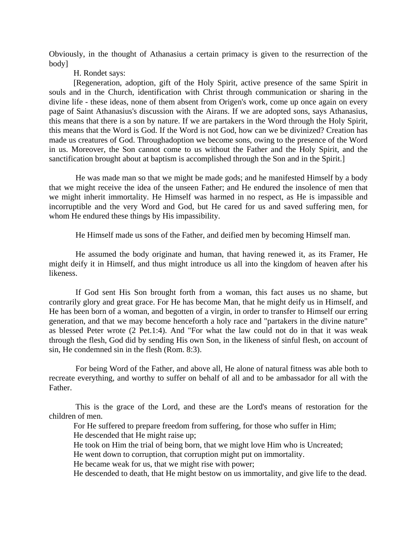Obviously, in the thought of Athanasius a certain primacy is given to the resurrection of the body]

### H. Rondet says:

[Regeneration, adoption, gift of the Holy Spirit, active presence of the same Spirit in souls and in the Church, identification with Christ through communication or sharing in the divine life - these ideas, none of them absent from Origen's work, come up once again on every page of Saint Athanasius's discussion with the Airans. If we are adopted sons, says Athanasius, this means that there is a son by nature. If we are partakers in the Word through the Holy Spirit, this means that the Word is God. If the Word is not God, how can we be divinized? Creation has made us creatures of God. Throughadoption we become sons, owing to the presence of the Word in us. Moreover, the Son cannot come to us without the Father and the Holy Spirit, and the sanctification brought about at baptism is accomplished through the Son and in the Spirit.]

 He was made man so that we might be made gods; and he manifested Himself by a body that we might receive the idea of the unseen Father; and He endured the insolence of men that we might inherit immortality. He Himself was harmed in no respect, as He is impassible and incorruptible and the very Word and God, but He cared for us and saved suffering men, for whom He endured these things by His impassibility.

He Himself made us sons of the Father, and deified men by becoming Himself man.

 He assumed the body originate and human, that having renewed it, as its Framer, He might deify it in Himself, and thus might introduce us all into the kingdom of heaven after his likeness.

 If God sent His Son brought forth from a woman, this fact auses us no shame, but contrarily glory and great grace. For He has become Man, that he might deify us in Himself, and He has been born of a woman, and begotten of a virgin, in order to transfer to Himself our erring generation, and that we may become henceforth a holy race and "partakers in the divine nature" as blessed Peter wrote (2 Pet.1:4). And "For what the law could not do in that it was weak through the flesh, God did by sending His own Son, in the likeness of sinful flesh, on account of sin, He condemned sin in the flesh (Rom. 8:3).

 For being Word of the Father, and above all, He alone of natural fitness was able both to recreate everything, and worthy to suffer on behalf of all and to be ambassador for all with the Father.

 This is the grace of the Lord, and these are the Lord's means of restoration for the children of men.

For He suffered to prepare freedom from suffering, for those who suffer in Him; He descended that He might raise up;

He took on Him the trial of being born, that we might love Him who is Uncreated;

He went down to corruption, that corruption might put on immortality.

He became weak for us, that we might rise with power;

He descended to death, that He might bestow on us immortality, and give life to the dead.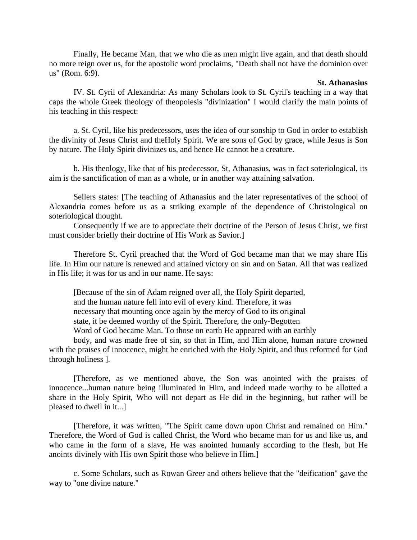Finally, He became Man, that we who die as men might live again, and that death should no more reign over us, for the apostolic word proclaims, "Death shall not have the dominion over us" (Rom. 6:9).

#### **St. Athanasius**

IV. St. Cyril of Alexandria: As many Scholars look to St. Cyril's teaching in a way that caps the whole Greek theology of theopoiesis "divinization" I would clarify the main points of his teaching in this respect:

a. St. Cyril, like his predecessors, uses the idea of our sonship to God in order to establish the divinity of Jesus Christ and theHoly Spirit. We are sons of God by grace, while Jesus is Son by nature. The Holy Spirit divinizes us, and hence He cannot be a creature.

b. His theology, like that of his predecessor, St, Athanasius, was in fact soteriological, its aim is the sanctification of man as a whole, or in another way attaining salvation.

Sellers states: [The teaching of Athanasius and the later representatives of the school of Alexandria comes before us as a striking example of the dependence of Christological on soteriological thought.

Consequently if we are to appreciate their doctrine of the Person of Jesus Christ, we first must consider briefly their doctrine of His Work as Savior.]

Therefore St. Cyril preached that the Word of God became man that we may share His life. In Him our nature is renewed and attained victory on sin and on Satan. All that was realized in His life; it was for us and in our name. He says:

[Because of the sin of Adam reigned over all, the Holy Spirit departed, and the human nature fell into evil of every kind. Therefore, it was necessary that mounting once again by the mercy of God to its original state, it be deemed worthy of the Spirit. Therefore, the only-Begotten Word of God became Man. To those on earth He appeared with an earthly

body, and was made free of sin, so that in Him, and Him alone, human nature crowned with the praises of innocence, might be enriched with the Holy Spirit, and thus reformed for God through holiness ].

[Therefore, as we mentioned above, the Son was anointed with the praises of innocence...human nature being illuminated in Him, and indeed made worthy to be allotted a share in the Holy Spirit, Who will not depart as He did in the beginning, but rather will be pleased to dwell in it...]

[Therefore, it was written, "The Spirit came down upon Christ and remained on Him." Therefore, the Word of God is called Christ, the Word who became man for us and like us, and who came in the form of a slave, He was anointed humanly according to the flesh, but He anoints divinely with His own Spirit those who believe in Him.]

c. Some Scholars, such as Rowan Greer and others believe that the "deification" gave the way to "one divine nature."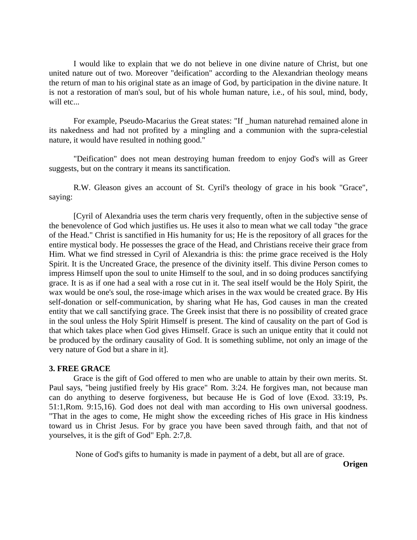I would like to explain that we do not believe in one divine nature of Christ, but one united nature out of two. Moreover "deification" according to the Alexandrian theology means the return of man to his original state as an image of God, by participation in the divine nature. It is not a restoration of man's soul, but of his whole human nature, i.e., of his soul, mind, body, will etc...

For example, Pseudo-Macarius the Great states: "If \_human naturehad remained alone in its nakedness and had not profited by a mingling and a communion with the supra-celestial nature, it would have resulted in nothing good."

"Deification" does not mean destroying human freedom to enjoy God's will as Greer suggests, but on the contrary it means its sanctification.

R.W. Gleason gives an account of St. Cyril's theology of grace in his book "Grace", saying:

[Cyril of Alexandria uses the term charis very frequently, often in the subjective sense of the benevolence of God which justifies us. He uses it also to mean what we call today "the grace of the Head." Christ is sanctified in His humanity for us; He is the repository of all graces for the entire mystical body. He possesses the grace of the Head, and Christians receive their grace from Him. What we find stressed in Cyril of Alexandria is this: the prime grace received is the Holy Spirit. It is the Uncreated Grace, the presence of the divinity itself. This divine Person comes to impress Himself upon the soul to unite Himself to the soul, and in so doing produces sanctifying grace. It is as if one had a seal with a rose cut in it. The seal itself would be the Holy Spirit, the wax would be one's soul, the rose-image which arises in the wax would be created grace. By His self-donation or self-communication, by sharing what He has, God causes in man the created entity that we call sanctifying grace. The Greek insist that there is no possibility of created grace in the soul unless the Holy Spirit Himself is present. The kind of causality on the part of God is that which takes place when God gives Himself. Grace is such an unique entity that it could not be produced by the ordinary causality of God. It is something sublime, not only an image of the very nature of God but a share in it].

### **3. FREE GRACE**

Grace is the gift of God offered to men who are unable to attain by their own merits. St. Paul says, "being justified freely by His grace" Rom. 3:24. He forgives man, not because man can do anything to deserve forgiveness, but because He is God of love (Exod. 33:19, Ps. 51:1,Rom. 9:15,16). God does not deal with man according to His own universal goodness. "That in the ages to come, He might show the exceeding riches of His grace in His kindness toward us in Christ Jesus. For by grace you have been saved through faith, and that not of yourselves, it is the gift of God" Eph. 2:7,8.

None of God's gifts to humanity is made in payment of a debt, but all are of grace.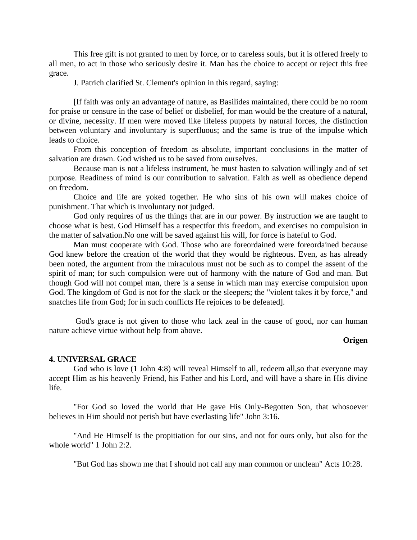This free gift is not granted to men by force, or to careless souls, but it is offered freely to all men, to act in those who seriously desire it. Man has the choice to accept or reject this free grace.

J. Patrich clarified St. Clement's opinion in this regard, saying:

[If faith was only an advantage of nature, as Basilides maintained, there could be no room for praise or censure in the case of belief or disbelief, for man would be the creature of a natural, or divine, necessity. If men were moved like lifeless puppets by natural forces, the distinction between voluntary and involuntary is superfluous; and the same is true of the impulse which leads to choice.

From this conception of freedom as absolute, important conclusions in the matter of salvation are drawn. God wished us to be saved from ourselves.

Because man is not a lifeless instrument, he must hasten to salvation willingly and of set purpose. Readiness of mind is our contribution to salvation. Faith as well as obedience depend on freedom.

Choice and life are yoked together. He who sins of his own will makes choice of punishment. That which is involuntary not judged.

God only requires of us the things that are in our power. By instruction we are taught to choose what is best. God Himself has a respectfor this freedom, and exercises no compulsion in the matter of salvation.No one will be saved against his will, for force is hateful to God.

Man must cooperate with God. Those who are foreordained were foreordained because God knew before the creation of the world that they would be righteous. Even, as has already been noted, the argument from the miraculous must not be such as to compel the assent of the spirit of man; for such compulsion were out of harmony with the nature of God and man. But though God will not compel man, there is a sense in which man may exercise compulsion upon God. The kingdom of God is not for the slack or the sleepers; the "violent takes it by force," and snatches life from God; for in such conflicts He rejoices to be defeated].

 God's grace is not given to those who lack zeal in the cause of good, nor can human nature achieve virtue without help from above.

### **Origen**

#### **4. UNIVERSAL GRACE**

God who is love (1 John 4:8) will reveal Himself to all, redeem all, so that everyone may accept Him as his heavenly Friend, his Father and his Lord, and will have a share in His divine life.

"For God so loved the world that He gave His Only-Begotten Son, that whosoever believes in Him should not perish but have everlasting life" John 3:16.

"And He Himself is the propitiation for our sins, and not for ours only, but also for the whole world" 1 John 2:2.

"But God has shown me that I should not call any man common or unclean" Acts 10:28.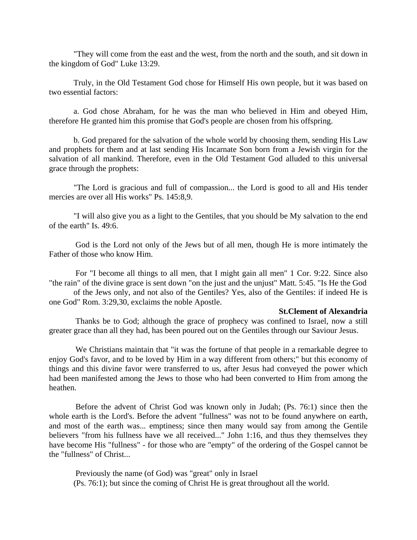"They will come from the east and the west, from the north and the south, and sit down in the kingdom of God" Luke 13:29.

Truly, in the Old Testament God chose for Himself His own people, but it was based on two essential factors:

a. God chose Abraham, for he was the man who believed in Him and obeyed Him, therefore He granted him this promise that God's people are chosen from his offspring.

b. God prepared for the salvation of the whole world by choosing them, sending His Law and prophets for them and at last sending His Incarnate Son born from a Jewish virgin for the salvation of all mankind. Therefore, even in the Old Testament God alluded to this universal grace through the prophets:

"The Lord is gracious and full of compassion... the Lord is good to all and His tender mercies are over all His works" Ps. 145:8,9.

"I will also give you as a light to the Gentiles, that you should be My salvation to the end of the earth" Is. 49:6.

 God is the Lord not only of the Jews but of all men, though He is more intimately the Father of those who know Him.

 For "I become all things to all men, that I might gain all men" 1 Cor. 9:22. Since also "the rain" of the divine grace is sent down "on the just and the unjust" Matt. 5:45. "Is He the God

of the Jews only, and not also of the Gentiles? Yes, also of the Gentiles: if indeed He is one God" Rom. 3:29,30, exclaims the noble Apostle.

### **St.Clement of Alexandria**

 Thanks be to God; although the grace of prophecy was confined to Israel, now a still greater grace than all they had, has been poured out on the Gentiles through our Saviour Jesus.

 We Christians maintain that "it was the fortune of that people in a remarkable degree to enjoy God's favor, and to be loved by Him in a way different from others;" but this economy of things and this divine favor were transferred to us, after Jesus had conveyed the power which had been manifested among the Jews to those who had been converted to Him from among the heathen.

 Before the advent of Christ God was known only in Judah; (Ps. 76:1) since then the whole earth is the Lord's. Before the advent "fullness" was not to be found anywhere on earth, and most of the earth was... emptiness; since then many would say from among the Gentile believers "from his fullness have we all received..." John 1:16, and thus they themselves they have become His "fullness" - for those who are "empty" of the ordering of the Gospel cannot be the "fullness" of Christ...

 Previously the name (of God) was "great" only in Israel (Ps. 76:1); but since the coming of Christ He is great throughout all the world.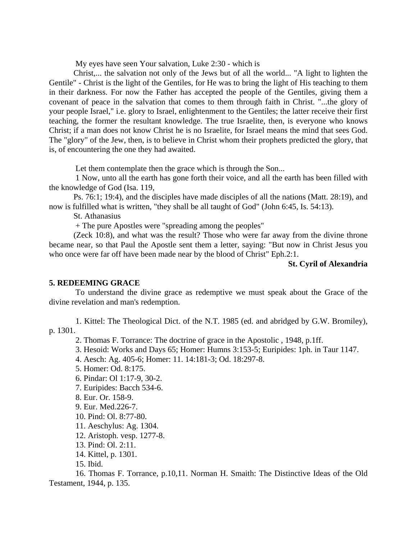My eyes have seen Your salvation, Luke 2:30 - which is

Christ,... the salvation not only of the Jews but of all the world... "A light to lighten the Gentile" - Christ is the light of the Gentiles, for He was to bring the light of His teaching to them in their darkness. For now the Father has accepted the people of the Gentiles, giving them a covenant of peace in the salvation that comes to them through faith in Christ. "...the glory of your people Israel," i.e. glory to Israel, enlightenment to the Gentiles; the latter receive their first teaching, the former the resultant knowledge. The true Israelite, then, is everyone who knows Christ; if a man does not know Christ he is no Israelite, for Israel means the mind that sees God. The "glory" of the Jew, then, is to believe in Christ whom their prophets predicted the glory, that is, of encountering the one they had awaited.

Let them contemplate then the grace which is through the Son...

 1 Now, unto all the earth has gone forth their voice, and all the earth has been filled with the knowledge of God (Isa. 119,

Ps. 76:1; 19:4), and the disciples have made disciples of all the nations (Matt. 28:19), and now is fulfilled what is written, "they shall be all taught of God" (John 6:45, Is. 54:13).

St. Athanasius

+ The pure Apostles were "spreading among the peoples"

(Zeck 10:8), and what was the result? Those who were far away from the divine throne became near, so that Paul the Apostle sent them a letter, saying: "But now in Christ Jesus you who once were far off have been made near by the blood of Christ" Eph.2:1.

### **St. Cyril of Alexandria**

#### **5. REDEEMING GRACE**

 To understand the divine grace as redemptive we must speak about the Grace of the divine revelation and man's redemption.

 1. Kittel: The Theological Dict. of the N.T. 1985 (ed. and abridged by G.W. Bromiley), p. 1301.

2. Thomas F. Torrance: The doctrine of grace in the Apostolic , 1948, p.1ff.

3. Hesoid: Works and Days 65; Homer: Humns 3:153-5; Euripides: 1ph. in Taur 1147.

4. Aesch: Ag. 405-6; Homer: 11. 14:181-3; Od. 18:297-8.

5. Homer: Od. 8:175.

6. Pindar: Ol 1:17-9, 30-2.

7. Euripides: Bacch 534-6.

8. Eur. Or. 158-9.

9. Eur. Med.226-7.

10. Pind: Ol. 8:77-80.

11. Aeschylus: Ag. 1304.

12. Aristoph. vesp. 1277-8.

13. Pind: Ol. 2:11.

14. Kittel, p. 1301.

15. Ibid.

 16. Thomas F. Torrance, p.10,11. Norman H. Smaith: The Distinctive Ideas of the Old Testament, 1944, p. 135.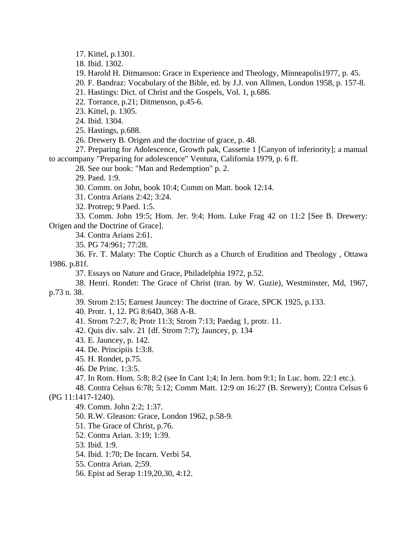17. Kittel, p.1301.

18. Ibid. 1302.

19. Harold H. Ditmanson: Grace in Experience and Theology, Minneapolis1977, p. 45.

20. F. Bandraz: Vocabulary of the Bible, ed. by J.J. von Allmen, London 1958, p. 157-8.

21. Hastings: Dict. of Christ and the Gospels, Vol. 1, p.686.

22. Torrance, p.21; Ditmenson, p.45-6.

23. Kittel, p. 1305.

24. Ibid. 1304.

25. Hastings, p.688.

26. Drewery B. Origen and the doctrine of grace, p. 48.

 27. Preparing for Adolescence, Growth pak, Cassette 1 [Canyon of inferiority]; a manual to accompany "Preparing for adolescence" Ventura, California 1979, p. 6 ff.

28. See our book: "Man and Redemption" p. 2.

29. Paed. 1:9.

30. Comm. on John, book 10:4; Comm on Matt. book 12:14.

31. Contra Arians 2:42; 3:24.

32. Protrep; 9 Paed. 1:5.

 33. Comm. John 19:5; Hom. Jer. 9:4; Hom. Luke Frag 42 on 11:2 [See B. Drewery: Origen and the Doctrine of Grace].

34. Contra Arians 2:61.

35. PG 74:961; 77:28.

 36. Fr. T. Malaty: The Coptic Church as a Church of Erudition and Theology , Ottawa 1986. p.81f.

37. Essays on Nature and Grace, Philadelphia 1972, p.52.

38. Henri. Rondet: The Grace of Christ (tran. by W. Guzie), Westminster, Md, 1967,

p.73 n. 38.

39. Strom 2:15; Earnest Jauncey: The doctrine of Grace, SPCK 1925, p.133.

40. Protr. 1, 12. PG 8:64D, 368 A-B.

41. Strom 7:2:7, 8; Protr 11:3; Strom 7:13; Paedag 1, protr. 11.

42. Quis div. salv. 21 {df. Strom 7:7); Jauncey, p. 134

43. E. Jauncey, p. 142.

44. De. Principiis 1:3:8.

45. H. Rondet, p.75.

46. De Princ. 1:3:5.

47. In Rom. Hom. 5:8; 8:2 (see In Cant 1;4; In Jern. hom 9:1; In Luc. hom. 22:1 etc.).

 48. Contra Celsus 6:78; 5:12; Comm Matt. 12:9 on 16:27 (B. Srewery); Contra Celsus 6 (PG 11:1417-1240).

49. Comm. John 2:2; 1:37.

50. R.W. Gleason: Grace, London 1962, p.58-9.

51. The Grace of Christ, p.76.

52. Contra Arian. 3:19; 1:39.

53. Ibid. 1:9.

54. Ibid. 1:70; De Incarn. Verbi 54.

55. Contra Arian. 2;59.

56. Epist ad Serap 1:19,20,30, 4:12.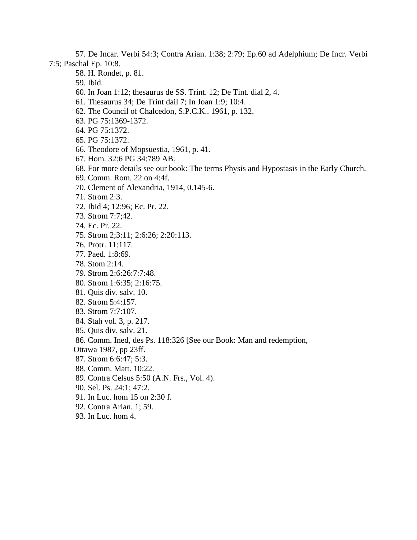57. De Incar. Verbi 54:3; Contra Arian. 1:38; 2:79; Ep.60 ad Adelphium; De Incr. Verbi 7:5; Paschal Ep. 10:8.

58. H. Rondet, p. 81.

59. Ibid.

- 60. In Joan 1:12; thesaurus de SS. Trint. 12; De Tint. dial 2, 4.
- 61. Thesaurus 34; De Trint dail 7; In Joan 1:9; 10:4.
- 62. The Council of Chalcedon, S.P.C.K.. 1961, p. 132.
- 63. PG 75:1369-1372.
- 64. PG 75:1372.
- 65. PG 75:1372.
- 66. Theodore of Mopsuestia, 1961, p. 41.
- 67. Hom. 32:6 PG 34:789 AB.
- 68. For more details see our book: The terms Physis and Hypostasis in the Early Church.
- 69. Comm. Rom. 22 on 4:4f.
- 70. Clement of Alexandria, 1914, 0.145-6.
- 71. Strom 2:3.
- 72. Ibid 4; 12:96; Ec. Pr. 22.
- 73. Strom 7:7;42.
- 74. Ec. Pr. 22.
- 75. Strom 2;3:11; 2:6:26; 2:20:113.
- 76. Protr. 11:117.
- 77. Paed. 1:8:69.
- 78. Stom 2:14.
- 79. Strom 2:6:26:7:7:48.
- 80. Strom 1:6:35; 2:16:75.
- 81. Quis div. salv. 10.
- 82. Strom 5:4:157.
- 83. Strom 7:7:107.
- 84. Stah vol. 3, p. 217.
- 85. Quis div. salv. 21.
- 86. Comm. Ined, des Ps. 118:326 [See our Book: Man and redemption,
- Ottawa 1987, pp 23ff.
- 87. Strom 6:6:47; 5:3.
- 88. Comm. Matt. 10:22.
- 89. Contra Celsus 5:50 (A.N. Frs., Vol. 4).
- 90. Sel. Ps. 24:1; 47:2.
- 91. In Luc. hom 15 on 2:30 f.
- 92. Contra Arian. 1; 59.
- 93. In Luc. hom 4.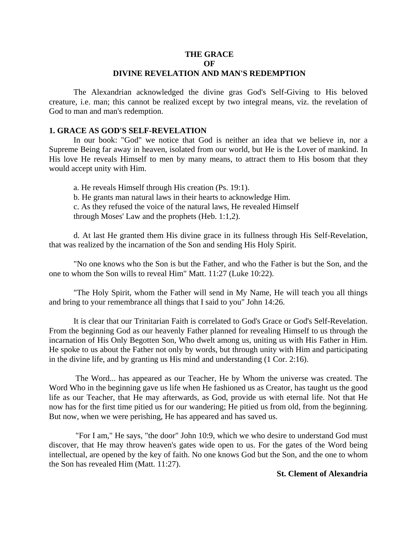### **THE GRACE OF DIVINE REVELATION AND MAN'S REDEMPTION**

The Alexandrian acknowledged the divine gras God's Self-Giving to His beloved creature, i.e. man; this cannot be realized except by two integral means, viz. the revelation of God to man and man's redemption.

### **1. GRACE AS GOD'S SELF-REVELATION**

In our book: "God" we notice that God is neither an idea that we believe in, nor a Supreme Being far away in heaven, isolated from our world, but He is the Lover of mankind. In His love He reveals Himself to men by many means, to attract them to His bosom that they would accept unity with Him.

a. He reveals Himself through His creation (Ps. 19:1). b. He grants man natural laws in their hearts to acknowledge Him. c. As they refused the voice of the natural laws, He revealed Himself through Moses' Law and the prophets (Heb. 1:1,2).

d. At last He granted them His divine grace in its fullness through His Self-Revelation, that was realized by the incarnation of the Son and sending His Holy Spirit.

"No one knows who the Son is but the Father, and who the Father is but the Son, and the one to whom the Son wills to reveal Him" Matt. 11:27 (Luke 10:22).

"The Holy Spirit, whom the Father will send in My Name, He will teach you all things and bring to your remembrance all things that I said to you" John 14:26.

It is clear that our Trinitarian Faith is correlated to God's Grace or God's Self-Revelation. From the beginning God as our heavenly Father planned for revealing Himself to us through the incarnation of His Only Begotten Son, Who dwelt among us, uniting us with His Father in Him. He spoke to us about the Father not only by words, but through unity with Him and participating in the divine life, and by granting us His mind and understanding (1 Cor. 2:16).

 The Word... has appeared as our Teacher, He by Whom the universe was created. The Word Who in the beginning gave us life when He fashioned us as Creator, has taught us the good life as our Teacher, that He may afterwards, as God, provide us with eternal life. Not that He now has for the first time pitied us for our wandering; He pitied us from old, from the beginning. But now, when we were perishing, He has appeared and has saved us.

 "For I am," He says, "the door" John 10:9, which we who desire to understand God must discover, that He may throw heaven's gates wide open to us. For the gates of the Word being intellectual, are opened by the key of faith. No one knows God but the Son, and the one to whom the Son has revealed Him (Matt. 11:27).

### **St. Clement of Alexandria**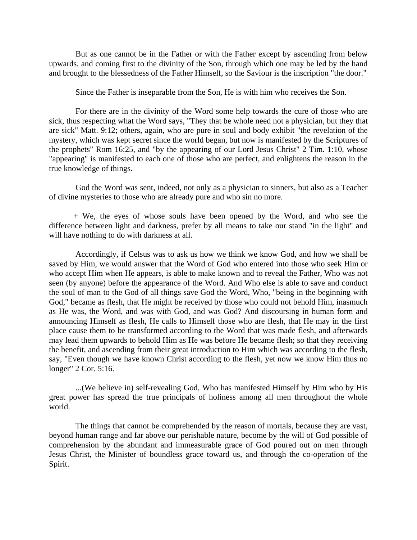But as one cannot be in the Father or with the Father except by ascending from below upwards, and coming first to the divinity of the Son, through which one may be led by the hand and brought to the blessedness of the Father Himself, so the Saviour is the inscription "the door."

Since the Father is inseparable from the Son, He is with him who receives the Son.

 For there are in the divinity of the Word some help towards the cure of those who are sick, thus respecting what the Word says, "They that be whole need not a physician, but they that are sick" Matt. 9:12; others, again, who are pure in soul and body exhibit "the revelation of the mystery, which was kept secret since the world began, but now is manifested by the Scriptures of the prophets" Rom 16:25, and "by the appearing of our Lord Jesus Christ" 2 Tim. 1:10, whose "appearing" is manifested to each one of those who are perfect, and enlightens the reason in the true knowledge of things.

 God the Word was sent, indeed, not only as a physician to sinners, but also as a Teacher of divine mysteries to those who are already pure and who sin no more.

+ We, the eyes of whose souls have been opened by the Word, and who see the difference between light and darkness, prefer by all means to take our stand "in the light" and will have nothing to do with darkness at all.

 Accordingly, if Celsus was to ask us how we think we know God, and how we shall be saved by Him, we would answer that the Word of God who entered into those who seek Him or who accept Him when He appears, is able to make known and to reveal the Father, Who was not seen (by anyone) before the appearance of the Word. And Who else is able to save and conduct the soul of man to the God of all things save God the Word, Who, "being in the beginning with God," became as flesh, that He might be received by those who could not behold Him, inasmuch as He was, the Word, and was with God, and was God? And discoursing in human form and announcing Himself as flesh, He calls to Himself those who are flesh, that He may in the first place cause them to be transformed according to the Word that was made flesh, and afterwards may lead them upwards to behold Him as He was before He became flesh; so that they receiving the benefit, and ascending from their great introduction to Him which was according to the flesh, say, "Even though we have known Christ according to the flesh, yet now we know Him thus no longer" 2 Cor. 5:16.

 ...(We believe in) self-revealing God, Who has manifested Himself by Him who by His great power has spread the true principals of holiness among all men throughout the whole world.

 The things that cannot be comprehended by the reason of mortals, because they are vast, beyond human range and far above our perishable nature, become by the will of God possible of comprehension by the abundant and immeasurable grace of God poured out on men through Jesus Christ, the Minister of boundless grace toward us, and through the co-operation of the Spirit.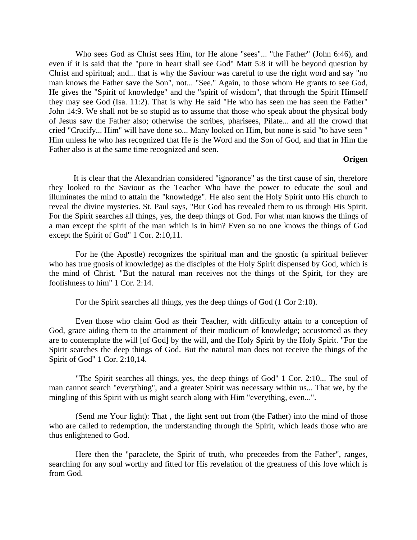Who sees God as Christ sees Him, for He alone "sees"... "the Father" (John 6:46), and even if it is said that the "pure in heart shall see God" Matt 5:8 it will be beyond question by Christ and spiritual; and... that is why the Saviour was careful to use the right word and say "no man knows the Father save the Son", not... "See." Again, to those whom He grants to see God, He gives the "Spirit of knowledge" and the "spirit of wisdom", that through the Spirit Himself they may see God (Isa. 11:2). That is why He said "He who has seen me has seen the Father" John 14:9. We shall not be so stupid as to assume that those who speak about the physical body of Jesus saw the Father also; otherwise the scribes, pharisees, Pilate... and all the crowd that cried "Crucify... Him" will have done so... Many looked on Him, but none is said "to have seen " Him unless he who has recognized that He is the Word and the Son of God, and that in Him the Father also is at the same time recognized and seen.

### **Origen**

It is clear that the Alexandrian considered "ignorance" as the first cause of sin, therefore they looked to the Saviour as the Teacher Who have the power to educate the soul and illuminates the mind to attain the "knowledge". He also sent the Holy Spirit unto His church to reveal the divine mysteries. St. Paul says, "But God has revealed them to us through His Spirit. For the Spirit searches all things, yes, the deep things of God. For what man knows the things of a man except the spirit of the man which is in him? Even so no one knows the things of God except the Spirit of God" 1 Cor. 2:10,11.

 For he (the Apostle) recognizes the spiritual man and the gnostic (a spiritual believer who has true gnosis of knowledge) as the disciples of the Holy Spirit dispensed by God, which is the mind of Christ. "But the natural man receives not the things of the Spirit, for they are foolishness to him" 1 Cor. 2:14.

For the Spirit searches all things, yes the deep things of God (1 Cor 2:10).

 Even those who claim God as their Teacher, with difficulty attain to a conception of God, grace aiding them to the attainment of their modicum of knowledge; accustomed as they are to contemplate the will [of God] by the will, and the Holy Spirit by the Holy Spirit. "For the Spirit searches the deep things of God. But the natural man does not receive the things of the Spirit of God" 1 Cor. 2:10,14.

 "The Spirit searches all things, yes, the deep things of God" 1 Cor. 2:10... The soul of man cannot search "everything", and a greater Spirit was necessary within us... That we, by the mingling of this Spirit with us might search along with Him "everything, even...".

 (Send me Your light): That , the light sent out from (the Father) into the mind of those who are called to redemption, the understanding through the Spirit, which leads those who are thus enlightened to God.

 Here then the "paraclete, the Spirit of truth, who preceedes from the Father", ranges, searching for any soul worthy and fitted for His revelation of the greatness of this love which is from God.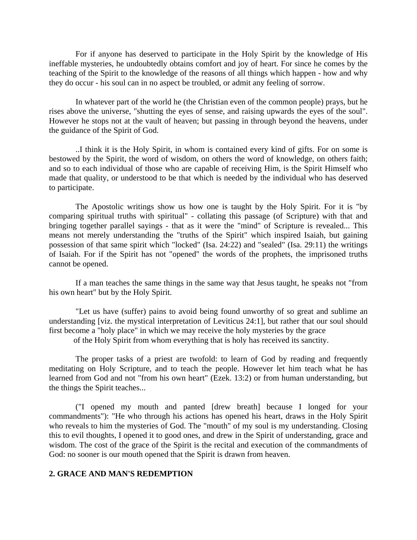For if anyone has deserved to participate in the Holy Spirit by the knowledge of His ineffable mysteries, he undoubtedly obtains comfort and joy of heart. For since he comes by the teaching of the Spirit to the knowledge of the reasons of all things which happen - how and why they do occur - his soul can in no aspect be troubled, or admit any feeling of sorrow.

 In whatever part of the world he (the Christian even of the common people) prays, but he rises above the universe, "shutting the eyes of sense, and raising upwards the eyes of the soul". However he stops not at the vault of heaven; but passing in through beyond the heavens, under the guidance of the Spirit of God.

 ..I think it is the Holy Spirit, in whom is contained every kind of gifts. For on some is bestowed by the Spirit, the word of wisdom, on others the word of knowledge, on others faith; and so to each individual of those who are capable of receiving Him, is the Spirit Himself who made that quality, or understood to be that which is needed by the individual who has deserved to participate.

 The Apostolic writings show us how one is taught by the Holy Spirit. For it is "by comparing spiritual truths with spiritual" - collating this passage (of Scripture) with that and bringing together parallel sayings - that as it were the "mind" of Scripture is revealed... This means not merely understanding the "truths of the Spirit" which inspired Isaiah, but gaining possession of that same spirit which "locked" (Isa. 24:22) and "sealed" (Isa. 29:11) the writings of Isaiah. For if the Spirit has not "opened" the words of the prophets, the imprisoned truths cannot be opened.

 If a man teaches the same things in the same way that Jesus taught, he speaks not "from his own heart" but by the Holy Spirit.

 "Let us have (suffer) pains to avoid being found unworthy of so great and sublime an understanding [viz. the mystical interpretation of Leviticus 24:1], but rather that our soul should first become a "holy place" in which we may receive the holy mysteries by the grace

of the Holy Spirit from whom everything that is holy has received its sanctity.

 The proper tasks of a priest are twofold: to learn of God by reading and frequently meditating on Holy Scripture, and to teach the people. However let him teach what he has learned from God and not "from his own heart" (Ezek. 13:2) or from human understanding, but the things the Spirit teaches...

 ("I opened my mouth and panted [drew breath] because I longed for your commandments"): "He who through his actions has opened his heart, draws in the Holy Spirit who reveals to him the mysteries of God. The "mouth" of my soul is my understanding. Closing this to evil thoughts, I opened it to good ones, and drew in the Spirit of understanding, grace and wisdom. The cost of the grace of the Spirit is the recital and execution of the commandments of God: no sooner is our mouth opened that the Spirit is drawn from heaven.

### **2. GRACE AND MAN'S REDEMPTION**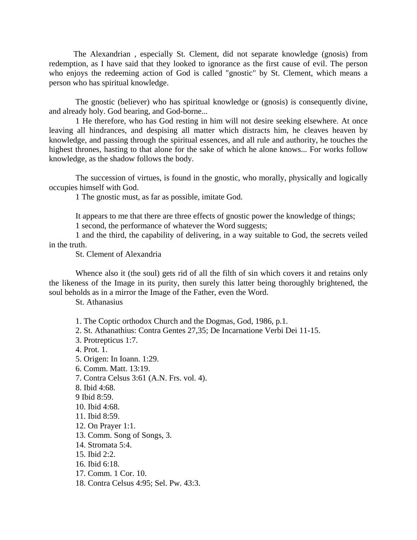The Alexandrian , especially St. Clement, did not separate knowledge (gnosis) from redemption, as I have said that they looked to ignorance as the first cause of evil. The person who enjoys the redeeming action of God is called "gnostic" by St. Clement, which means a person who has spiritual knowledge.

 The gnostic (believer) who has spiritual knowledge or (gnosis) is consequently divine, and already holy. God bearing, and God-borne...

 1 He therefore, who has God resting in him will not desire seeking elsewhere. At once leaving all hindrances, and despising all matter which distracts him, he cleaves heaven by knowledge, and passing through the spiritual essences, and all rule and authority, he touches the highest thrones, hasting to that alone for the sake of which he alone knows... For works follow knowledge, as the shadow follows the body.

 The succession of virtues, is found in the gnostic, who morally, physically and logically occupies himself with God.

1 The gnostic must, as far as possible, imitate God.

It appears to me that there are three effects of gnostic power the knowledge of things;

1 second, the performance of whatever the Word suggests;

 1 and the third, the capability of delivering, in a way suitable to God, the secrets veiled in the truth.

St. Clement of Alexandria

 Whence also it (the soul) gets rid of all the filth of sin which covers it and retains only the likeness of the Image in its purity, then surely this latter being thoroughly brightened, the soul beholds as in a mirror the Image of the Father, even the Word.

St. Athanasius

1. The Coptic orthodox Church and the Dogmas, God, 1986, p.1.

- 2. St. Athanathius: Contra Gentes 27,35; De Incarnatione Verbi Dei 11-15.
- 3. Protrepticus 1:7.
- 4. Prot. 1.
- 5. Origen: In Ioann. 1:29.
- 6. Comm. Matt. 13:19.
- 7. Contra Celsus 3:61 (A.N. Frs. vol. 4).
- 8. Ibid 4:68.
- 9 Ibid 8:59.
- 10. Ibid 4:68.
- 11. Ibid 8:59.
- 12. On Prayer 1:1.
- 13. Comm. Song of Songs, 3.
- 14. Stromata 5:4.
- 15. Ibid 2:2.
- 16. Ibid 6:18.
- 17. Comm. 1 Cor. 10.
- 18. Contra Celsus 4:95; Sel. Pw. 43:3.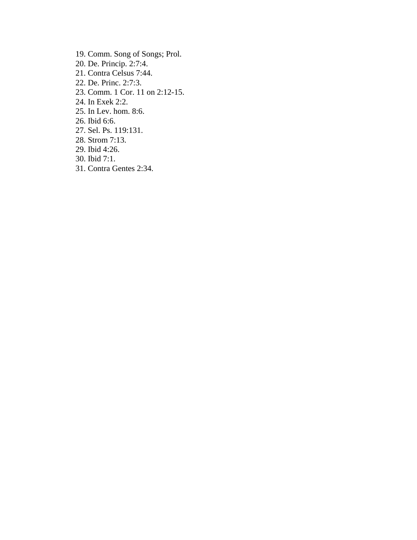- 19. Comm. Song of Songs; Prol.
- 20. De. Princip. 2:7:4.
- 21. Contra Celsus 7:44.
- 22. De. Princ. 2:7:3.
- 23. Comm. 1 Cor. 11 on 2:12-15.
- 24. In Exek 2:2.
- 25. In Lev. hom. 8:6.
- 26. Ibid 6:6.
- 27. Sel. Ps. 119:131.
- 28. Strom 7:13.
- 29. Ibid 4:26.
- 30. Ibid 7:1.
- 31. Contra Gentes 2:34.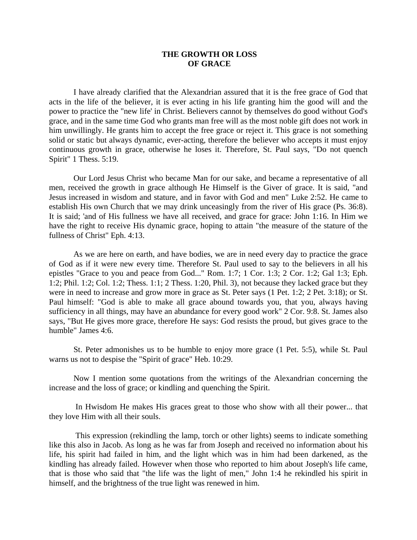### **THE GROWTH OR LOSS OF GRACE**

I have already clarified that the Alexandrian assured that it is the free grace of God that acts in the life of the believer, it is ever acting in his life granting him the good will and the power to practice the "new life' in Christ. Believers cannot by themselves do good without God's grace, and in the same time God who grants man free will as the most noble gift does not work in him unwillingly. He grants him to accept the free grace or reject it. This grace is not something solid or static but always dynamic, ever-acting, therefore the believer who accepts it must enjoy continuous growth in grace, otherwise he loses it. Therefore, St. Paul says, "Do not quench Spirit" 1 Thess. 5:19.

Our Lord Jesus Christ who became Man for our sake, and became a representative of all men, received the growth in grace although He Himself is the Giver of grace. It is said, "and Jesus increased in wisdom and stature, and in favor with God and men" Luke 2:52. He came to establish His own Church that we may drink unceasingly from the river of His grace (Ps. 36:8). It is said; 'and of His fullness we have all received, and grace for grace: John 1:16. In Him we have the right to receive His dynamic grace, hoping to attain "the measure of the stature of the fullness of Christ" Eph. 4:13.

As we are here on earth, and have bodies, we are in need every day to practice the grace of God as if it were new every time. Therefore St. Paul used to say to the believers in all his epistles "Grace to you and peace from God..." Rom. 1:7; 1 Cor. 1:3; 2 Cor. 1:2; Gal 1:3; Eph. 1:2; Phil. 1:2; Col. 1:2; Thess. 1:1; 2 Thess. 1:20, Phil. 3), not because they lacked grace but they were in need to increase and grow more in grace as St. Peter says (1 Pet. 1:2; 2 Pet. 3:18); or St. Paul himself: "God is able to make all grace abound towards you, that you, always having sufficiency in all things, may have an abundance for every good work" 2 Cor. 9:8. St. James also says, "But He gives more grace, therefore He says: God resists the proud, but gives grace to the humble" James 4:6.

St. Peter admonishes us to be humble to enjoy more grace (1 Pet. 5:5), while St. Paul warns us not to despise the "Spirit of grace" Heb. 10:29.

Now I mention some quotations from the writings of the Alexandrian concerning the increase and the loss of grace; or kindling and quenching the Spirit.

 In Hwisdom He makes His graces great to those who show with all their power... that they love Him with all their souls.

 This expression (rekindling the lamp, torch or other lights) seems to indicate something like this also in Jacob. As long as he was far from Joseph and received no information about his life, his spirit had failed in him, and the light which was in him had been darkened, as the kindling has already failed. However when those who reported to him about Joseph's life came, that is those who said that "the life was the light of men," John 1:4 he rekindled his spirit in himself, and the brightness of the true light was renewed in him.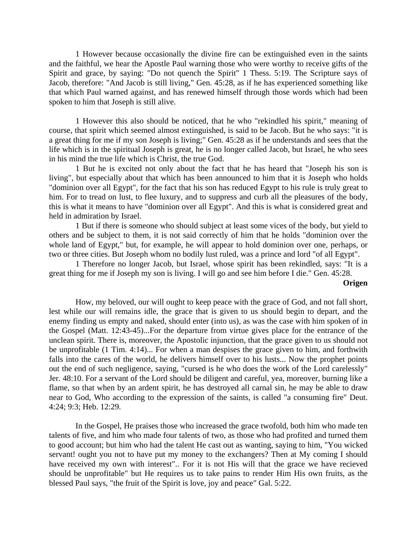1 However because occasionally the divine fire can be extinguished even in the saints and the faithful, we hear the Apostle Paul warning those who were worthy to receive gifts of the Spirit and grace, by saying: "Do not quench the Spirit" 1 Thess. 5:19. The Scripture says of Jacob, therefore: "And Jacob is still living," Gen. 45:28, as if he has experienced something like that which Paul warned against, and has renewed himself through those words which had been spoken to him that Joseph is still alive.

 1 However this also should be noticed, that he who "rekindled his spirit," meaning of course, that spirit which seemed almost extinguished, is said to be Jacob. But he who says: "it is a great thing for me if my son Joseph is living;" Gen. 45:28 as if he understands and sees that the life which is in the spiritual Joseph is great, he is no longer called Jacob, but Israel, he who sees in his mind the true life which is Christ, the true God.

 1 But he is excited not only about the fact that he has heard that "Joseph his son is living", but especially about that which has been announced to him that it is Joseph who holds "dominion over all Egypt", for the fact that his son has reduced Egypt to his rule is truly great to him. For to tread on lust, to flee luxury, and to suppress and curb all the pleasures of the body, this is what it means to have "dominion over all Egypt". And this is what is considered great and held in admiration by Israel.

 1 But if there is someone who should subject at least some vices of the body, but yield to others and be subject to them, it is not said correctly of him that he holds "dominion over the whole land of Egypt," but, for example, he will appear to hold dominion over one, perhaps, or two or three cities. But Joseph whom no bodily lust ruled, was a prince and lord "of all Egypt".

 1 Therefore no longer Jacob, but Israel, whose spirit has been rekindled, says: "It is a great thing for me if Joseph my son is living. I will go and see him before I die." Gen. 45:28.

#### **Origen**

 How, my beloved, our will ought to keep peace with the grace of God, and not fall short, lest while our will remains idle, the grace that is given to us should begin to depart, and the enemy finding us empty and naked, should enter (into us), as was the case with him spoken of in the Gospel (Matt. 12:43-45)...For the departure from virtue gives place for the entrance of the unclean spirit. There is, moreover, the Apostolic injunction, that the grace given to us should not be unprofitable (1 Tim. 4:14)... For when a man despises the grace given to him, and forthwith falls into the cares of the world, he delivers himself over to his lusts... Now the prophet points out the end of such negligence, saying, "cursed is he who does the work of the Lord carelessly" Jer. 48:10. For a servant of the Lord should be diligent and careful, yea, moreover, burning like a flame, so that when by an ardent spirit, he has destroyed all carnal sin, he may be able to draw near to God, Who according to the expression of the saints, is called "a consuming fire" Deut. 4:24; 9:3; Heb. 12:29.

 In the Gospel, He praises those who increased the grace twofold, both him who made ten talents of five, and him who made four talents of two, as those who had profited and turned them to good account; but him who had the talent He cast out as wanting, saying to him, "You wicked servant! ought you not to have put my money to the exchangers? Then at My coming I should have received my own with interest".. For it is not His will that the grace we have recieved should be unprofitable" but He requires us to take pains to render Him His own fruits, as the blessed Paul says, "the fruit of the Spirit is love, joy and peace" Gal. 5:22.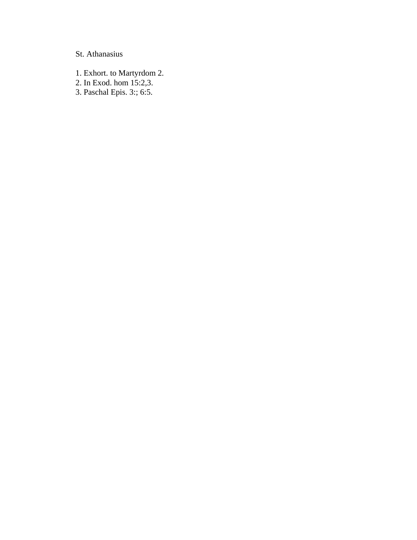## St. Athanasius

- 1. Exhort. to Martyrdom 2.
- 2. In Exod. hom 15:2,3.
- 3. Paschal Epis. 3:; 6:5.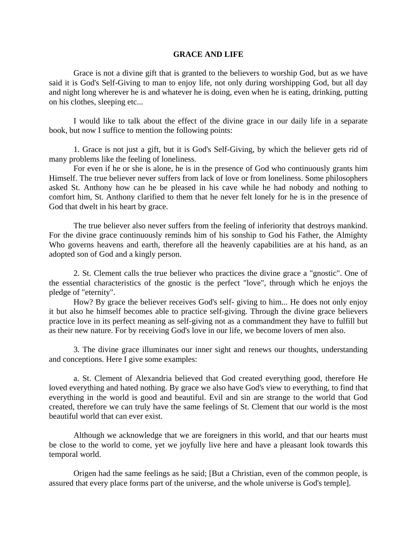#### **GRACE AND LIFE**

Grace is not a divine gift that is granted to the believers to worship God, but as we have said it is God's Self-Giving to man to enjoy life, not only during worshipping God, but all day and night long wherever he is and whatever he is doing, even when he is eating, drinking, putting on his clothes, sleeping etc...

I would like to talk about the effect of the divine grace in our daily life in a separate book, but now I suffice to mention the following points:

1. Grace is not just a gift, but it is God's Self-Giving, by which the believer gets rid of many problems like the feeling of loneliness.

For even if he or she is alone, he is in the presence of God who continuously grants him Himself. The true believer never suffers from lack of love or from loneliness. Some philosophers asked St. Anthony how can he be pleased in his cave while he had nobody and nothing to comfort him, St. Anthony clarified to them that he never felt lonely for he is in the presence of God that dwelt in his heart by grace.

The true believer also never suffers from the feeling of inferiority that destroys mankind. For the divine grace continuously reminds him of his sonship to God his Father, the Almighty Who governs heavens and earth, therefore all the heavenly capabilities are at his hand, as an adopted son of God and a kingly person.

2. St. Clement calls the true believer who practices the divine grace a "gnostic". One of the essential characteristics of the gnostic is the perfect "love", through which he enjoys the pledge of "eternity".

How? By grace the believer receives God's self- giving to him... He does not only enjoy it but also he himself becomes able to practice self-giving. Through the divine grace believers practice love in its perfect meaning as self-giving not as a commandment they have to fulfill but as their new nature. For by receiving God's love in our life, we become lovers of men also.

3. The divine grace illuminates our inner sight and renews our thoughts, understanding and conceptions. Here I give some examples:

a. St. Clement of Alexandria believed that God created everything good, therefore He loved everything and hated nothing. By grace we also have God's view to everything, to find that everything in the world is good and beautiful. Evil and sin are strange to the world that God created, therefore we can truly have the same feelings of St. Clement that our world is the most beautiful world that can ever exist.

Although we acknowledge that we are foreigners in this world, and that our hearts must be close to the world to come, yet we joyfully live here and have a pleasant look towards this temporal world.

Origen had the same feelings as he said; [But a Christian, even of the common people, is assured that every place forms part of the universe, and the whole universe is God's temple].